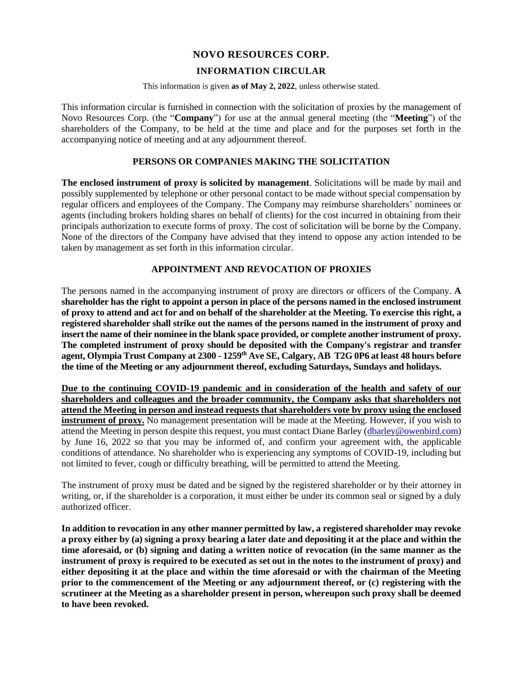# **NOVO RESOURCES CORP.**

# **INFORMATION CIRCULAR**

This information is given **as of May 2, 2022**, unless otherwise stated.

This information circular is furnished in connection with the solicitation of proxies by the management of Novo Resources Corp. (the "**Company**") for use at the annual general meeting (the "**Meeting**") of the shareholders of the Company, to be held at the time and place and for the purposes set forth in the accompanying notice of meeting and at any adjournment thereof.

# **PERSONS OR COMPANIES MAKING THE SOLICITATION**

**The enclosed instrument of proxy is solicited by management**. Solicitations will be made by mail and possibly supplemented by telephone or other personal contact to be made without special compensation by regular officers and employees of the Company. The Company may reimburse shareholders' nominees or agents (including brokers holding shares on behalf of clients) for the cost incurred in obtaining from their principals authorization to execute forms of proxy. The cost of solicitation will be borne by the Company. None of the directors of the Company have advised that they intend to oppose any action intended to be taken by management as set forth in this information circular.

# **APPOINTMENT AND REVOCATION OF PROXIES**

The persons named in the accompanying instrument of proxy are directors or officers of the Company. **A shareholder has the right to appoint a person in place of the persons named in the enclosed instrument of proxy to attend and act for and on behalf of the shareholder at the Meeting. To exercise this right, a registered shareholder shall strike out the names of the persons named in the instrument of proxy and insert the name of their nominee in the blank space provided, or complete another instrument of proxy. The completed instrument of proxy should be deposited with the Company's registrar and transfer agent, Olympia Trust Company at 2300 - 1259th Ave SE, Calgary, AB T2G 0P6 at least 48 hours before the time of the Meeting or any adjournment thereof, excluding Saturdays, Sundays and holidays.**

**Due to the continuing COVID-19 pandemic and in consideration of the health and safety of our shareholders and colleagues and the broader community, the Company asks that shareholders not attend the Meeting in person and instead requests that shareholders vote by proxy using the enclosed instrument of proxy.** No management presentation will be made at the Meeting. However, if you wish to attend the Meeting in person despite this request, you must contact Diane Barley [\(dbarley@owenbird.com\)](mailto:dbarley@owenbird.com) by June 16, 2022 so that you may be informed of, and confirm your agreement with, the applicable conditions of attendance. No shareholder who is experiencing any symptoms of COVID-19, including but not limited to fever, cough or difficulty breathing, will be permitted to attend the Meeting.

The instrument of proxy must be dated and be signed by the registered shareholder or by their attorney in writing, or, if the shareholder is a corporation, it must either be under its common seal or signed by a duly authorized officer.

**In addition to revocation in any other manner permitted by law, a registered shareholder may revoke a proxy either by (a) signing a proxy bearing a later date and depositing it at the place and within the time aforesaid, or (b) signing and dating a written notice of revocation (in the same manner as the instrument of proxy is required to be executed as set out in the notes to the instrument of proxy) and either depositing it at the place and within the time aforesaid or with the chairman of the Meeting prior to the commencement of the Meeting or any adjournment thereof, or (c) registering with the scrutineer at the Meeting as a shareholder present in person, whereupon such proxy shall be deemed to have been revoked.**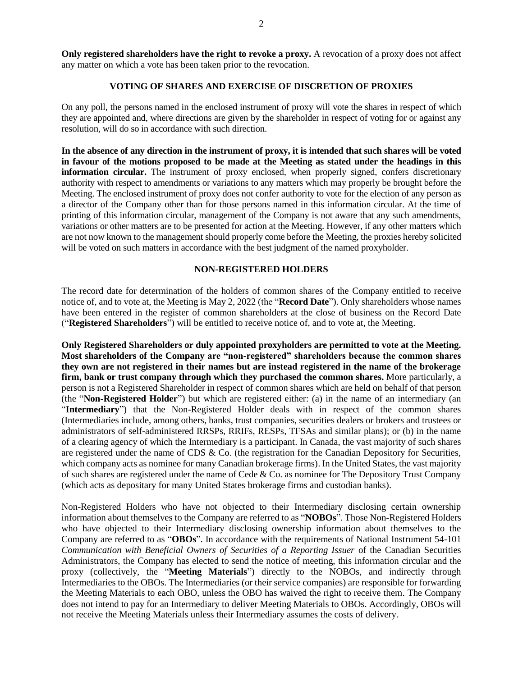**Only registered shareholders have the right to revoke a proxy.** A revocation of a proxy does not affect any matter on which a vote has been taken prior to the revocation.

#### **VOTING OF SHARES AND EXERCISE OF DISCRETION OF PROXIES**

On any poll, the persons named in the enclosed instrument of proxy will vote the shares in respect of which they are appointed and, where directions are given by the shareholder in respect of voting for or against any resolution, will do so in accordance with such direction.

**In the absence of any direction in the instrument of proxy, it is intended that such shares will be voted in favour of the motions proposed to be made at the Meeting as stated under the headings in this information circular.** The instrument of proxy enclosed, when properly signed, confers discretionary authority with respect to amendments or variations to any matters which may properly be brought before the Meeting. The enclosed instrument of proxy does not confer authority to vote for the election of any person as a director of the Company other than for those persons named in this information circular. At the time of printing of this information circular, management of the Company is not aware that any such amendments, variations or other matters are to be presented for action at the Meeting. However, if any other matters which are not now known to the management should properly come before the Meeting, the proxies hereby solicited will be voted on such matters in accordance with the best judgment of the named proxyholder.

## **NON-REGISTERED HOLDERS**

The record date for determination of the holders of common shares of the Company entitled to receive notice of, and to vote at, the Meeting is May 2, 2022 (the "**Record Date**"). Only shareholders whose names have been entered in the register of common shareholders at the close of business on the Record Date ("**Registered Shareholders**") will be entitled to receive notice of, and to vote at, the Meeting.

**Only Registered Shareholders or duly appointed proxyholders are permitted to vote at the Meeting. Most shareholders of the Company are "non-registered" shareholders because the common shares they own are not registered in their names but are instead registered in the name of the brokerage firm, bank or trust company through which they purchased the common shares.** More particularly, a person is not a Registered Shareholder in respect of common shares which are held on behalf of that person (the "**Non-Registered Holder**") but which are registered either: (a) in the name of an intermediary (an "**Intermediary**") that the Non-Registered Holder deals with in respect of the common shares (Intermediaries include, among others, banks, trust companies, securities dealers or brokers and trustees or administrators of self-administered RRSPs, RRIFs, RESPs, TFSAs and similar plans); or (b) in the name of a clearing agency of which the Intermediary is a participant. In Canada, the vast majority of such shares are registered under the name of CDS & Co. (the registration for the Canadian Depository for Securities, which company acts as nominee for many Canadian brokerage firms). In the United States, the vast majority of such shares are registered under the name of Cede & Co. as nominee for The Depository Trust Company (which acts as depositary for many United States brokerage firms and custodian banks).

Non-Registered Holders who have not objected to their Intermediary disclosing certain ownership information about themselves to the Company are referred to as "**NOBOs**". Those Non-Registered Holders who have objected to their Intermediary disclosing ownership information about themselves to the Company are referred to as "**OBOs**". In accordance with the requirements of National Instrument 54-101 *Communication with Beneficial Owners of Securities of a Reporting Issuer* of the Canadian Securities Administrators, the Company has elected to send the notice of meeting, this information circular and the proxy (collectively, the "**Meeting Materials**") directly to the NOBOs, and indirectly through Intermediaries to the OBOs. The Intermediaries (or their service companies) are responsible for forwarding the Meeting Materials to each OBO, unless the OBO has waived the right to receive them. The Company does not intend to pay for an Intermediary to deliver Meeting Materials to OBOs. Accordingly, OBOs will not receive the Meeting Materials unless their Intermediary assumes the costs of delivery.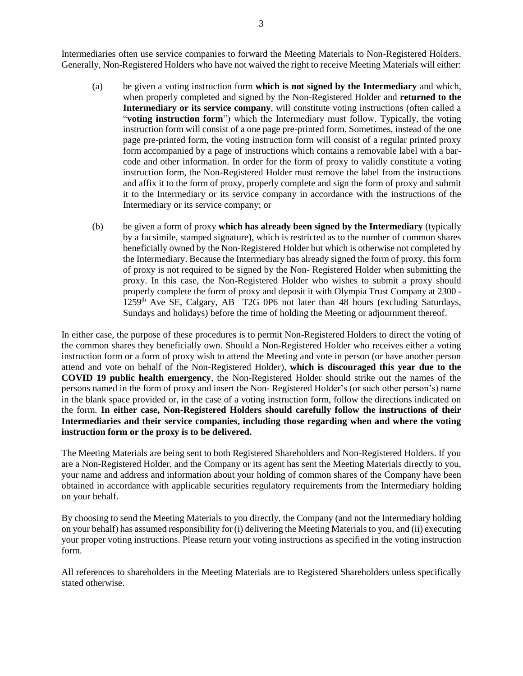Intermediaries often use service companies to forward the Meeting Materials to Non-Registered Holders. Generally, Non-Registered Holders who have not waived the right to receive Meeting Materials will either:

- (a) be given a voting instruction form **which is not signed by the Intermediary** and which, when properly completed and signed by the Non-Registered Holder and **returned to the Intermediary or its service company**, will constitute voting instructions (often called a "**voting instruction form**") which the Intermediary must follow. Typically, the voting instruction form will consist of a one page pre-printed form. Sometimes, instead of the one page pre-printed form, the voting instruction form will consist of a regular printed proxy form accompanied by a page of instructions which contains a removable label with a barcode and other information. In order for the form of proxy to validly constitute a voting instruction form, the Non-Registered Holder must remove the label from the instructions and affix it to the form of proxy, properly complete and sign the form of proxy and submit it to the Intermediary or its service company in accordance with the instructions of the Intermediary or its service company; or
- (b) be given a form of proxy **which has already been signed by the Intermediary** (typically by a facsimile, stamped signature), which is restricted as to the number of common shares beneficially owned by the Non-Registered Holder but which is otherwise not completed by the Intermediary. Because the Intermediary has already signed the form of proxy, this form of proxy is not required to be signed by the Non- Registered Holder when submitting the proxy. In this case, the Non-Registered Holder who wishes to submit a proxy should properly complete the form of proxy and deposit it with Olympia Trust Company at 2300 -  $1259<sup>th</sup>$  Ave SE, Calgary, AB T2G 0P6 not later than 48 hours (excluding Saturdays, Sundays and holidays) before the time of holding the Meeting or adjournment thereof.

In either case, the purpose of these procedures is to permit Non-Registered Holders to direct the voting of the common shares they beneficially own. Should a Non-Registered Holder who receives either a voting instruction form or a form of proxy wish to attend the Meeting and vote in person (or have another person attend and vote on behalf of the Non-Registered Holder), **which is discouraged this year due to the COVID 19 public health emergency**, the Non-Registered Holder should strike out the names of the persons named in the form of proxy and insert the Non- Registered Holder's (or such other person's) name in the blank space provided or, in the case of a voting instruction form, follow the directions indicated on the form. **In either case, Non-Registered Holders should carefully follow the instructions of their Intermediaries and their service companies, including those regarding when and where the voting instruction form or the proxy is to be delivered.**

The Meeting Materials are being sent to both Registered Shareholders and Non-Registered Holders. If you are a Non-Registered Holder, and the Company or its agent has sent the Meeting Materials directly to you, your name and address and information about your holding of common shares of the Company have been obtained in accordance with applicable securities regulatory requirements from the Intermediary holding on your behalf.

By choosing to send the Meeting Materials to you directly, the Company (and not the Intermediary holding on your behalf) has assumed responsibility for (i) delivering the Meeting Materials to you, and (ii) executing your proper voting instructions. Please return your voting instructions as specified in the voting instruction form.

All references to shareholders in the Meeting Materials are to Registered Shareholders unless specifically stated otherwise.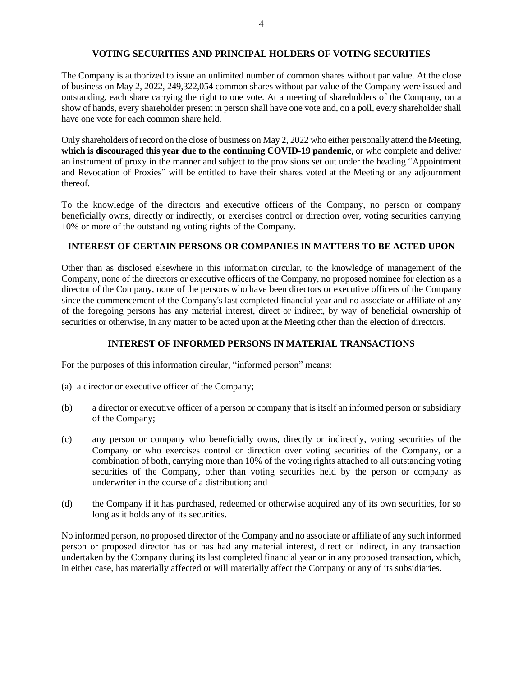### **VOTING SECURITIES AND PRINCIPAL HOLDERS OF VOTING SECURITIES**

The Company is authorized to issue an unlimited number of common shares without par value. At the close of business on May 2, 2022, 249,322,054 common shares without par value of the Company were issued and outstanding, each share carrying the right to one vote. At a meeting of shareholders of the Company, on a show of hands, every shareholder present in person shall have one vote and, on a poll, every shareholder shall have one vote for each common share held.

Only shareholders of record on the close of business on May 2, 2022 who either personally attend the Meeting, **which is discouraged this year due to the continuing COVID-19 pandemic**, or who complete and deliver an instrument of proxy in the manner and subject to the provisions set out under the heading "Appointment and Revocation of Proxies" will be entitled to have their shares voted at the Meeting or any adjournment thereof.

To the knowledge of the directors and executive officers of the Company, no person or company beneficially owns, directly or indirectly, or exercises control or direction over, voting securities carrying 10% or more of the outstanding voting rights of the Company.

# **INTEREST OF CERTAIN PERSONS OR COMPANIES IN MATTERS TO BE ACTED UPON**

Other than as disclosed elsewhere in this information circular, to the knowledge of management of the Company, none of the directors or executive officers of the Company, no proposed nominee for election as a director of the Company, none of the persons who have been directors or executive officers of the Company since the commencement of the Company's last completed financial year and no associate or affiliate of any of the foregoing persons has any material interest, direct or indirect, by way of beneficial ownership of securities or otherwise, in any matter to be acted upon at the Meeting other than the election of directors.

## **INTEREST OF INFORMED PERSONS IN MATERIAL TRANSACTIONS**

For the purposes of this information circular, "informed person" means:

- (a) a director or executive officer of the Company;
- (b) a director or executive officer of a person or company that is itself an informed person or subsidiary of the Company;
- (c) any person or company who beneficially owns, directly or indirectly, voting securities of the Company or who exercises control or direction over voting securities of the Company, or a combination of both, carrying more than 10% of the voting rights attached to all outstanding voting securities of the Company, other than voting securities held by the person or company as underwriter in the course of a distribution; and
- (d) the Company if it has purchased, redeemed or otherwise acquired any of its own securities, for so long as it holds any of its securities.

No informed person, no proposed director of the Company and no associate or affiliate of any such informed person or proposed director has or has had any material interest, direct or indirect, in any transaction undertaken by the Company during its last completed financial year or in any proposed transaction, which, in either case, has materially affected or will materially affect the Company or any of its subsidiaries.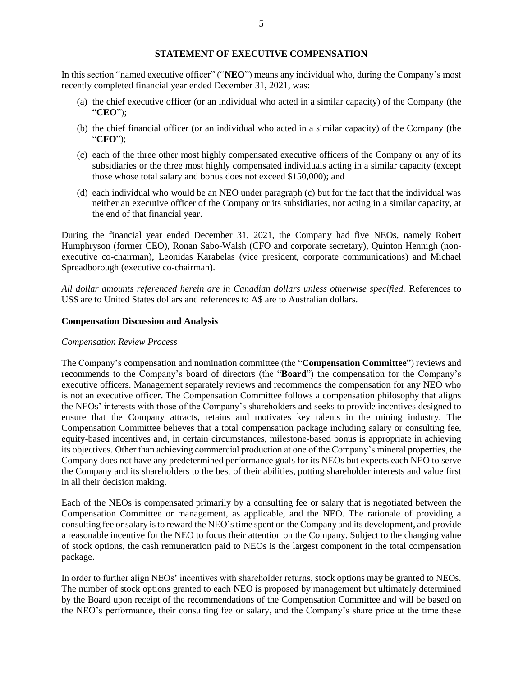## **STATEMENT OF EXECUTIVE COMPENSATION**

In this section "named executive officer" ("**NEO**") means any individual who, during the Company's most recently completed financial year ended December 31, 2021, was:

- (a) the chief executive officer (or an individual who acted in a similar capacity) of the Company (the "**CEO**");
- (b) the chief financial officer (or an individual who acted in a similar capacity) of the Company (the "**CFO**");
- (c) each of the three other most highly compensated executive officers of the Company or any of its subsidiaries or the three most highly compensated individuals acting in a similar capacity (except those whose total salary and bonus does not exceed \$150,000); and
- (d) each individual who would be an NEO under paragraph (c) but for the fact that the individual was neither an executive officer of the Company or its subsidiaries, nor acting in a similar capacity, at the end of that financial year.

During the financial year ended December 31, 2021, the Company had five NEOs, namely Robert Humphryson (former CEO), Ronan Sabo-Walsh (CFO and corporate secretary), Quinton Hennigh (nonexecutive co-chairman), Leonidas Karabelas (vice president, corporate communications) and Michael Spreadborough (executive co-chairman).

*All dollar amounts referenced herein are in Canadian dollars unless otherwise specified.* References to US\$ are to United States dollars and references to A\$ are to Australian dollars.

#### **Compensation Discussion and Analysis**

#### *Compensation Review Process*

The Company's compensation and nomination committee (the "**Compensation Committee**") reviews and recommends to the Company's board of directors (the "**Board**") the compensation for the Company's executive officers. Management separately reviews and recommends the compensation for any NEO who is not an executive officer. The Compensation Committee follows a compensation philosophy that aligns the NEOs' interests with those of the Company's shareholders and seeks to provide incentives designed to ensure that the Company attracts, retains and motivates key talents in the mining industry. The Compensation Committee believes that a total compensation package including salary or consulting fee, equity-based incentives and, in certain circumstances, milestone-based bonus is appropriate in achieving its objectives. Other than achieving commercial production at one of the Company's mineral properties, the Company does not have any predetermined performance goals for its NEOs but expects each NEO to serve the Company and its shareholders to the best of their abilities, putting shareholder interests and value first in all their decision making.

Each of the NEOs is compensated primarily by a consulting fee or salary that is negotiated between the Compensation Committee or management, as applicable, and the NEO. The rationale of providing a consulting fee or salary is to reward the NEO's time spent on the Company and its development, and provide a reasonable incentive for the NEO to focus their attention on the Company. Subject to the changing value of stock options, the cash remuneration paid to NEOs is the largest component in the total compensation package.

In order to further align NEOs' incentives with shareholder returns, stock options may be granted to NEOs. The number of stock options granted to each NEO is proposed by management but ultimately determined by the Board upon receipt of the recommendations of the Compensation Committee and will be based on the NEO's performance, their consulting fee or salary, and the Company's share price at the time these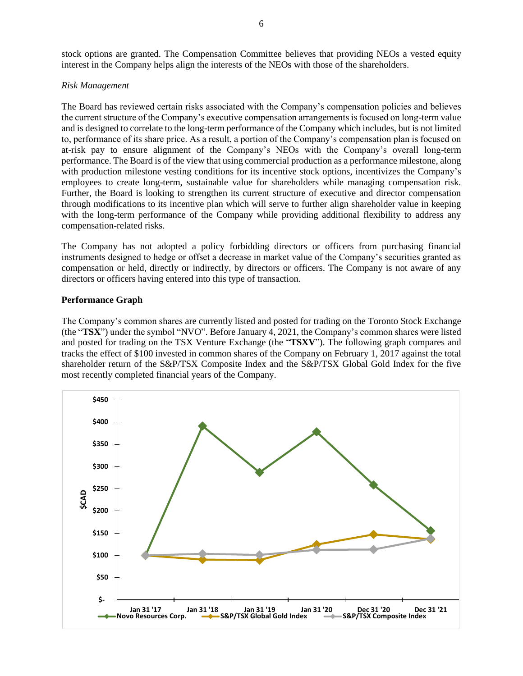### *Risk Management*

The Board has reviewed certain risks associated with the Company's compensation policies and believes the current structure of the Company's executive compensation arrangements is focused on long-term value and is designed to correlate to the long-term performance of the Company which includes, but is not limited to, performance of its share price. As a result, a portion of the Company's compensation plan is focused on at-risk pay to ensure alignment of the Company's NEOs with the Company's overall long-term performance. The Board is of the view that using commercial production as a performance milestone, along with production milestone vesting conditions for its incentive stock options, incentivizes the Company's employees to create long-term, sustainable value for shareholders while managing compensation risk. Further, the Board is looking to strengthen its current structure of executive and director compensation through modifications to its incentive plan which will serve to further align shareholder value in keeping with the long-term performance of the Company while providing additional flexibility to address any compensation-related risks.

The Company has not adopted a policy forbidding directors or officers from purchasing financial instruments designed to hedge or offset a decrease in market value of the Company's securities granted as compensation or held, directly or indirectly, by directors or officers. The Company is not aware of any directors or officers having entered into this type of transaction.

# **Performance Graph**

The Company's common shares are currently listed and posted for trading on the Toronto Stock Exchange (the "**TSX**") under the symbol "NVO". Before January 4, 2021, the Company's common shares were listed and posted for trading on the TSX Venture Exchange (the "**TSXV**"). The following graph compares and tracks the effect of \$100 invested in common shares of the Company on February 1, 2017 against the total shareholder return of the S&P/TSX Composite Index and the S&P/TSX Global Gold Index for the five most recently completed financial years of the Company.

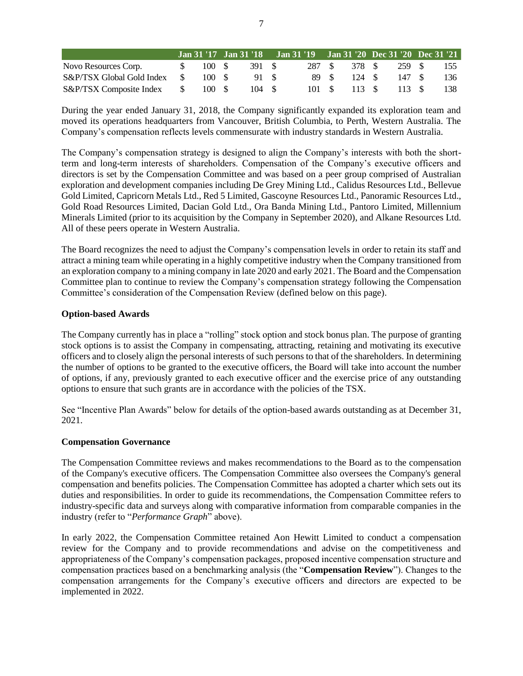|                              |               |        |       | Jan 31 '17 Jan 31 '18 Jan 31 '19 Jan 31 '20 Dec 31 '20 Dec 31 '21 |      |               |                      |     |
|------------------------------|---------------|--------|-------|-------------------------------------------------------------------|------|---------------|----------------------|-----|
| Novo Resources Corp.         | $\mathcal{S}$ | 100 \$ | 391 S |                                                                   |      | 287 \$ 378 \$ | 259 S                | 155 |
| S&P/TSX Global Gold Index \$ |               | 100 S  | 91 S  |                                                                   | 89 S | 124 S         | 147 S                | 136 |
| S&P/TSX Composite Index \$   |               | 100 S  | 104 S |                                                                   |      |               | 101 \$ 113 \$ 113 \$ | 138 |

During the year ended January 31, 2018, the Company significantly expanded its exploration team and moved its operations headquarters from Vancouver, British Columbia, to Perth, Western Australia. The Company's compensation reflects levels commensurate with industry standards in Western Australia.

The Company's compensation strategy is designed to align the Company's interests with both the shortterm and long-term interests of shareholders. Compensation of the Company's executive officers and directors is set by the Compensation Committee and was based on a peer group comprised of Australian exploration and development companies including De Grey Mining Ltd., Calidus Resources Ltd., Bellevue Gold Limited, Capricorn Metals Ltd., Red 5 Limited, Gascoyne Resources Ltd., Panoramic Resources Ltd., Gold Road Resources Limited, Dacian Gold Ltd., Ora Banda Mining Ltd., Pantoro Limited, Millennium Minerals Limited (prior to its acquisition by the Company in September 2020), and Alkane Resources Ltd. All of these peers operate in Western Australia.

The Board recognizes the need to adjust the Company's compensation levels in order to retain its staff and attract a mining team while operating in a highly competitive industry when the Company transitioned from an exploration company to a mining company in late 2020 and early 2021. The Board and the Compensation Committee plan to continue to review the Company's compensation strategy following the Compensation Committee's consideration of the Compensation Review (defined below on this page).

## **Option-based Awards**

The Company currently has in place a "rolling" stock option and stock bonus plan. The purpose of granting stock options is to assist the Company in compensating, attracting, retaining and motivating its executive officers and to closely align the personal interests of such persons to that of the shareholders. In determining the number of options to be granted to the executive officers, the Board will take into account the number of options, if any, previously granted to each executive officer and the exercise price of any outstanding options to ensure that such grants are in accordance with the policies of the TSX.

See "Incentive Plan Awards" below for details of the option-based awards outstanding as at December 31, 2021.

## **Compensation Governance**

The Compensation Committee reviews and makes recommendations to the Board as to the compensation of the Company's executive officers. The Compensation Committee also oversees the Company's general compensation and benefits policies. The Compensation Committee has adopted a charter which sets out its duties and responsibilities. In order to guide its recommendations, the Compensation Committee refers to industry-specific data and surveys along with comparative information from comparable companies in the industry (refer to "*Performance Graph*" above).

In early 2022, the Compensation Committee retained Aon Hewitt Limited to conduct a compensation review for the Company and to provide recommendations and advise on the competitiveness and appropriateness of the Company's compensation packages, proposed incentive compensation structure and compensation practices based on a benchmarking analysis (the "**Compensation Review**"). Changes to the compensation arrangements for the Company's executive officers and directors are expected to be implemented in 2022.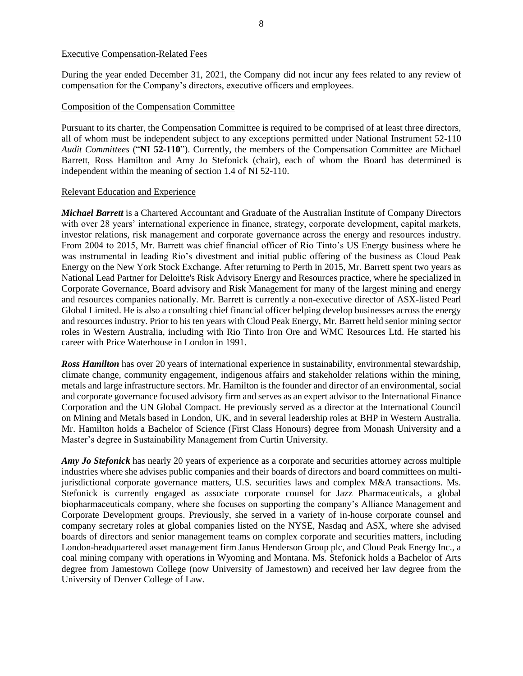### Executive Compensation-Related Fees

During the year ended December 31, 2021, the Company did not incur any fees related to any review of compensation for the Company's directors, executive officers and employees.

#### Composition of the Compensation Committee

Pursuant to its charter, the Compensation Committee is required to be comprised of at least three directors, all of whom must be independent subject to any exceptions permitted under National Instrument 52-110 *Audit Committees* ("**NI 52-110**"). Currently, the members of the Compensation Committee are Michael Barrett, Ross Hamilton and Amy Jo Stefonick (chair), each of whom the Board has determined is independent within the meaning of section 1.4 of NI 52-110.

### Relevant Education and Experience

*Michael Barrett* is a Chartered Accountant and Graduate of the Australian Institute of Company Directors with over 28 years' international experience in finance, strategy, corporate development, capital markets, investor relations, risk management and corporate governance across the energy and resources industry. From 2004 to 2015, Mr. Barrett was chief financial officer of Rio Tinto's US Energy business where he was instrumental in leading Rio's divestment and initial public offering of the business as Cloud Peak Energy on the New York Stock Exchange. After returning to Perth in 2015, Mr. Barrett spent two years as National Lead Partner for Deloitte's Risk Advisory Energy and Resources practice, where he specialized in Corporate Governance, Board advisory and Risk Management for many of the largest mining and energy and resources companies nationally. Mr. Barrett is currently a non-executive director of ASX-listed Pearl Global Limited. He is also a consulting chief financial officer helping develop businesses across the energy and resources industry. Prior to his ten years with Cloud Peak Energy, Mr. Barrett held senior mining sector roles in Western Australia, including with Rio Tinto Iron Ore and WMC Resources Ltd. He started his career with Price Waterhouse in London in 1991.

*Ross Hamilton* has over 20 years of international experience in sustainability, environmental stewardship, climate change, community engagement, indigenous affairs and stakeholder relations within the mining, metals and large infrastructure sectors. Mr. Hamilton is the founder and director of an environmental, social and corporate governance focused advisory firm and serves as an expert advisor to the International Finance Corporation and the UN Global Compact. He previously served as a director at the International Council on Mining and Metals based in London, UK, and in several leadership roles at BHP in Western Australia. Mr. Hamilton holds a Bachelor of Science (First Class Honours) degree from Monash University and a Master's degree in Sustainability Management from Curtin University.

*Amy Jo Stefonick* has nearly 20 years of experience as a corporate and securities attorney across multiple industries where she advises public companies and their boards of directors and board committees on multijurisdictional corporate governance matters, U.S. securities laws and complex M&A transactions. Ms. Stefonick is currently engaged as associate corporate counsel for Jazz Pharmaceuticals, a global biopharmaceuticals company, where she focuses on supporting the company's Alliance Management and Corporate Development groups. Previously, she served in a variety of in-house corporate counsel and company secretary roles at global companies listed on the NYSE, Nasdaq and ASX, where she advised boards of directors and senior management teams on complex corporate and securities matters, including London-headquartered asset management firm Janus Henderson Group plc, and Cloud Peak Energy Inc., a coal mining company with operations in Wyoming and Montana. Ms. Stefonick holds a Bachelor of Arts degree from Jamestown College (now University of Jamestown) and received her law degree from the University of Denver College of Law.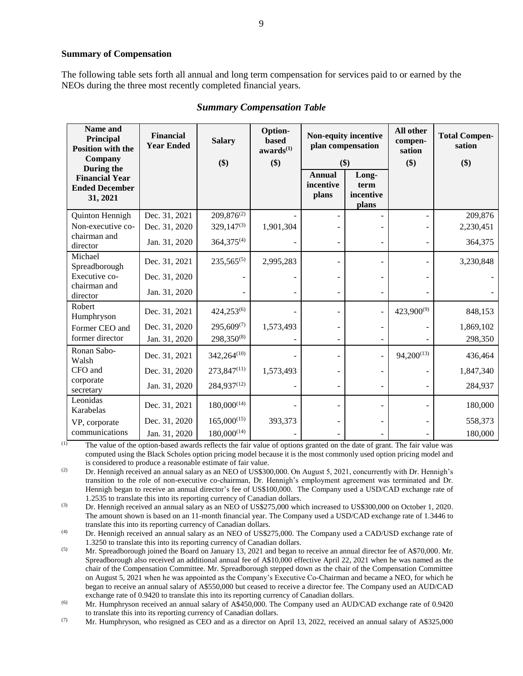#### **Summary of Compensation**

The following table sets forth all annual and long term compensation for services paid to or earned by the NEOs during the three most recently completed financial years.

| Name and<br>Principal<br><b>Position with the</b><br>Company<br>During the | <b>Financial</b><br><b>Year Ended</b> | <b>Salary</b><br>\$)               | Option-<br><b>based</b><br>awards <sup>(1)</sup><br>\$) | Non-equity incentive<br>plan compensation<br>\$) |                                     | All other<br>compen-<br>sation<br>\$) | <b>Total Compen-</b><br>sation<br>\$) |
|----------------------------------------------------------------------------|---------------------------------------|------------------------------------|---------------------------------------------------------|--------------------------------------------------|-------------------------------------|---------------------------------------|---------------------------------------|
| <b>Financial Year</b><br><b>Ended December</b><br>31, 2021                 |                                       |                                    |                                                         | <b>Annual</b><br>incentive<br>plans              | Long-<br>term<br>incentive<br>plans |                                       |                                       |
| Quinton Hennigh<br>Non-executive co-                                       | Dec. 31, 2021<br>Dec. 31, 2020        | $209,876^{(2)}$<br>$329,147^{(3)}$ | 1,901,304                                               |                                                  |                                     |                                       | 209,876<br>2,230,451                  |
| chairman and<br>director                                                   | Jan. 31, 2020                         | $364,375^{(4)}$                    |                                                         |                                                  |                                     |                                       | 364,375                               |
| Michael<br>Spreadborough                                                   | Dec. 31, 2021                         | $235,565^{(5)}$                    | 2,995,283                                               |                                                  |                                     |                                       | 3,230,848                             |
| Executive co-                                                              | Dec. 31, 2020                         |                                    |                                                         |                                                  |                                     |                                       |                                       |
| chairman and<br>director                                                   | Jan. 31, 2020                         |                                    |                                                         |                                                  |                                     |                                       |                                       |
| Robert<br>Humphryson                                                       | Dec. 31, 2021                         | $424,253^{(6)}$                    |                                                         |                                                  |                                     | 423,900(9)                            | 848,153                               |
| Former CEO and                                                             | Dec. 31, 2020                         | $295,609^{(7)}$                    | 1,573,493                                               |                                                  |                                     |                                       | 1,869,102                             |
| former director                                                            | Jan. 31, 2020                         | 298,350(8)                         |                                                         |                                                  |                                     |                                       | 298,350                               |
| Ronan Sabo-<br>Walsh                                                       | Dec. 31, 2021                         | $342,264^{(10)}$                   |                                                         |                                                  |                                     | $94,200^{(13)}$                       | 436,464                               |
| CFO and                                                                    | Dec. 31, 2020                         | $273,847^{(11)}$                   | 1,573,493                                               |                                                  |                                     |                                       | 1,847,340                             |
| corporate<br>secretary                                                     | Jan. 31, 2020                         | 284,937(12)                        |                                                         |                                                  |                                     |                                       | 284,937                               |
| Leonidas<br>Karabelas                                                      | Dec. 31, 2021                         | $180,000^{(14)}$                   |                                                         |                                                  |                                     |                                       | 180,000                               |
| VP, corporate                                                              | Dec. 31, 2020                         | $165,000^{(15)}$                   | 393,373                                                 |                                                  |                                     |                                       | 558,373                               |
| communications                                                             | Jan. 31, 2020                         | $180,000^{(14)}$                   |                                                         |                                                  |                                     |                                       | 180,000                               |

### *Summary Compensation Table*

(1) The value of the option-based awards reflects the fair value of options granted on the date of grant. The fair value was computed using the Black Scholes option pricing model because it is the most commonly used option pricing model and is considered to produce a reasonable estimate of fair value.

<sup>(2)</sup> Dr. Hennigh received an annual salary as an NEO of US\$300,000. On August 5, 2021, concurrently with Dr. Hennigh's transition to the role of non-executive co-chairman, Dr. Hennigh's employment agreement was terminated and Dr. Hennigh began to receive an annual director's fee of US\$100,000. The Company used a USD/CAD exchange rate of 1.2535 to translate this into its reporting currency of Canadian dollars.

(3) Dr. Hennigh received an annual salary as an NEO of US\$275,000 which increased to US\$300,000 on October 1, 2020. The amount shown is based on an 11-month financial year. The Company used a USD/CAD exchange rate of 1.3446 to translate this into its reporting currency of Canadian dollars.

(4) Dr. Hennigh received an annual salary as an NEO of US\$275,000. The Company used a CAD/USD exchange rate of 1.3250 to translate this into its reporting currency of Canadian dollars.

(5) Mr. Spreadborough joined the Board on January 13, 2021 and began to receive an annual director fee of A\$70,000. Mr. Spreadborough also received an additional annual fee of A\$10,000 effective April 22, 2021 when he was named as the chair of the Compensation Committee. Mr. Spreadborough stepped down as the chair of the Compensation Committee on August 5, 2021 when he was appointed as the Company's Executive Co-Chairman and became a NEO, for which he began to receive an annual salary of A\$550,000 but ceased to receive a director fee. The Company used an AUD/CAD exchange rate of 0.9420 to translate this into its reporting currency of Canadian dollars.

(6) Mr. Humphryson received an annual salary of A\$450,000. The Company used an AUD/CAD exchange rate of 0.9420 to translate this into its reporting currency of Canadian dollars.

 $(7)$  Mr. Humphryson, who resigned as CEO and as a director on April 13, 2022, received an annual salary of A\$325,000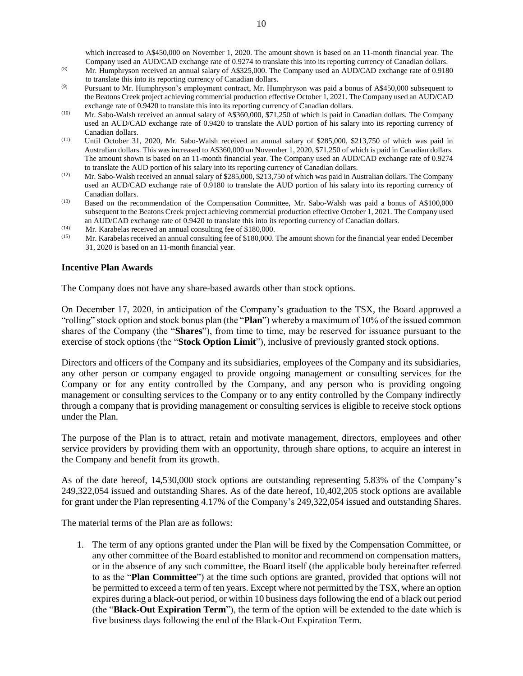which increased to A\$450,000 on November 1, 2020. The amount shown is based on an 11-month financial year. The Company used an AUD/CAD exchange rate of 0.9274 to translate this into its reporting currency of Canadian dollars.

- (8) Mr. Humphryson received an annual salary of A\$325,000. The Company used an AUD/CAD exchange rate of 0.9180 to translate this into its reporting currency of Canadian dollars.
- $(9)$  Pursuant to Mr. Humphryson's employment contract, Mr. Humphryson was paid a bonus of A\$450,000 subsequent to the Beatons Creek project achieving commercial production effective October 1, 2021. The Company used an AUD/CAD exchange rate of 0.9420 to translate this into its reporting currency of Canadian dollars.
- (10) Mr. Sabo-Walsh received an annual salary of A\$360,000, \$71,250 of which is paid in Canadian dollars. The Company used an AUD/CAD exchange rate of 0.9420 to translate the AUD portion of his salary into its reporting currency of Canadian dollars.
- (11) Until October 31, 2020, Mr. Sabo-Walsh received an annual salary of \$285,000, \$213,750 of which was paid in Australian dollars. This was increased to A\$360,000 on November 1, 2020, \$71,250 of which is paid in Canadian dollars. The amount shown is based on an 11-month financial year. The Company used an AUD/CAD exchange rate of 0.9274 to translate the AUD portion of his salary into its reporting currency of Canadian dollars.
- (12) Mr. Sabo-Walsh received an annual salary of \$285,000, \$213,750 of which was paid in Australian dollars. The Company used an AUD/CAD exchange rate of 0.9180 to translate the AUD portion of his salary into its reporting currency of Canadian dollars.
- (13) Based on the recommendation of the Compensation Committee, Mr. Sabo-Walsh was paid a bonus of A\$100,000 subsequent to the Beatons Creek project achieving commercial production effective October 1, 2021. The Company used an AUD/CAD exchange rate of 0.9420 to translate this into its reporting currency of Canadian dollars.
- (14) Mr. Karabelas received an annual consulting fee of \$180,000.<br>(15) Mr. Karabelas received an annual consulting fee of \$180,000.
- Mr. Karabelas received an annual consulting fee of \$180,000. The amount shown for the financial year ended December 31, 2020 is based on an 11-month financial year.

#### **Incentive Plan Awards**

The Company does not have any share-based awards other than stock options.

On December 17, 2020, in anticipation of the Company's graduation to the TSX, the Board approved a "rolling" stock option and stock bonus plan (the "**Plan**") whereby a maximum of 10% of the issued common shares of the Company (the "**Shares**"), from time to time, may be reserved for issuance pursuant to the exercise of stock options (the "**Stock Option Limit**"), inclusive of previously granted stock options.

Directors and officers of the Company and its subsidiaries, employees of the Company and its subsidiaries, any other person or company engaged to provide ongoing management or consulting services for the Company or for any entity controlled by the Company, and any person who is providing ongoing management or consulting services to the Company or to any entity controlled by the Company indirectly through a company that is providing management or consulting services is eligible to receive stock options under the Plan.

The purpose of the Plan is to attract, retain and motivate management, directors, employees and other service providers by providing them with an opportunity, through share options, to acquire an interest in the Company and benefit from its growth.

As of the date hereof, 14,530,000 stock options are outstanding representing 5.83% of the Company's 249,322,054 issued and outstanding Shares. As of the date hereof, 10,402,205 stock options are available for grant under the Plan representing 4.17% of the Company's 249,322,054 issued and outstanding Shares.

The material terms of the Plan are as follows:

1. The term of any options granted under the Plan will be fixed by the Compensation Committee, or any other committee of the Board established to monitor and recommend on compensation matters, or in the absence of any such committee, the Board itself (the applicable body hereinafter referred to as the "**Plan Committee**") at the time such options are granted, provided that options will not be permitted to exceed a term of ten years. Except where not permitted by the TSX, where an option expires during a black-out period, or within 10 business days following the end of a black out period (the "**Black-Out Expiration Term**"), the term of the option will be extended to the date which is five business days following the end of the Black-Out Expiration Term.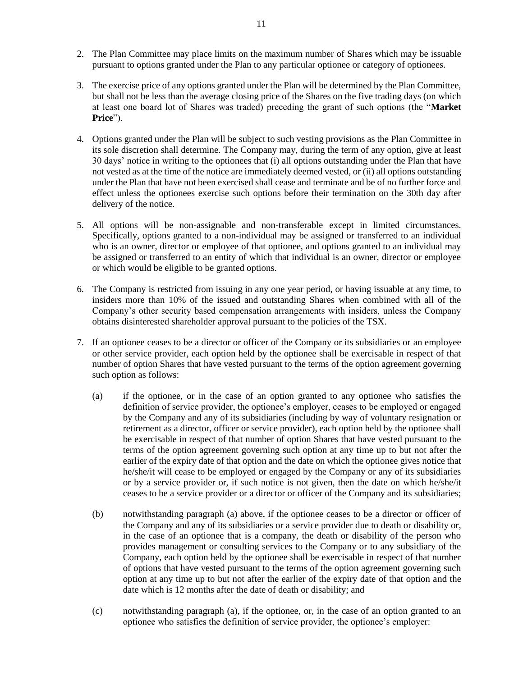- 2. The Plan Committee may place limits on the maximum number of Shares which may be issuable pursuant to options granted under the Plan to any particular optionee or category of optionees.
- 3. The exercise price of any options granted under the Plan will be determined by the Plan Committee, but shall not be less than the average closing price of the Shares on the five trading days (on which at least one board lot of Shares was traded) preceding the grant of such options (the "**Market Price**").
- 4. Options granted under the Plan will be subject to such vesting provisions as the Plan Committee in its sole discretion shall determine. The Company may, during the term of any option, give at least 30 days' notice in writing to the optionees that (i) all options outstanding under the Plan that have not vested as at the time of the notice are immediately deemed vested, or (ii) all options outstanding under the Plan that have not been exercised shall cease and terminate and be of no further force and effect unless the optionees exercise such options before their termination on the 30th day after delivery of the notice.
- 5. All options will be non-assignable and non-transferable except in limited circumstances. Specifically, options granted to a non-individual may be assigned or transferred to an individual who is an owner, director or employee of that optionee, and options granted to an individual may be assigned or transferred to an entity of which that individual is an owner, director or employee or which would be eligible to be granted options.
- 6. The Company is restricted from issuing in any one year period, or having issuable at any time, to insiders more than 10% of the issued and outstanding Shares when combined with all of the Company's other security based compensation arrangements with insiders, unless the Company obtains disinterested shareholder approval pursuant to the policies of the TSX.
- 7. If an optionee ceases to be a director or officer of the Company or its subsidiaries or an employee or other service provider, each option held by the optionee shall be exercisable in respect of that number of option Shares that have vested pursuant to the terms of the option agreement governing such option as follows:
	- (a) if the optionee, or in the case of an option granted to any optionee who satisfies the definition of service provider, the optionee's employer, ceases to be employed or engaged by the Company and any of its subsidiaries (including by way of voluntary resignation or retirement as a director, officer or service provider), each option held by the optionee shall be exercisable in respect of that number of option Shares that have vested pursuant to the terms of the option agreement governing such option at any time up to but not after the earlier of the expiry date of that option and the date on which the optionee gives notice that he/she/it will cease to be employed or engaged by the Company or any of its subsidiaries or by a service provider or, if such notice is not given, then the date on which he/she/it ceases to be a service provider or a director or officer of the Company and its subsidiaries;
	- (b) notwithstanding paragraph (a) above, if the optionee ceases to be a director or officer of the Company and any of its subsidiaries or a service provider due to death or disability or, in the case of an optionee that is a company, the death or disability of the person who provides management or consulting services to the Company or to any subsidiary of the Company, each option held by the optionee shall be exercisable in respect of that number of options that have vested pursuant to the terms of the option agreement governing such option at any time up to but not after the earlier of the expiry date of that option and the date which is 12 months after the date of death or disability; and
	- (c) notwithstanding paragraph (a), if the optionee, or, in the case of an option granted to an optionee who satisfies the definition of service provider, the optionee's employer: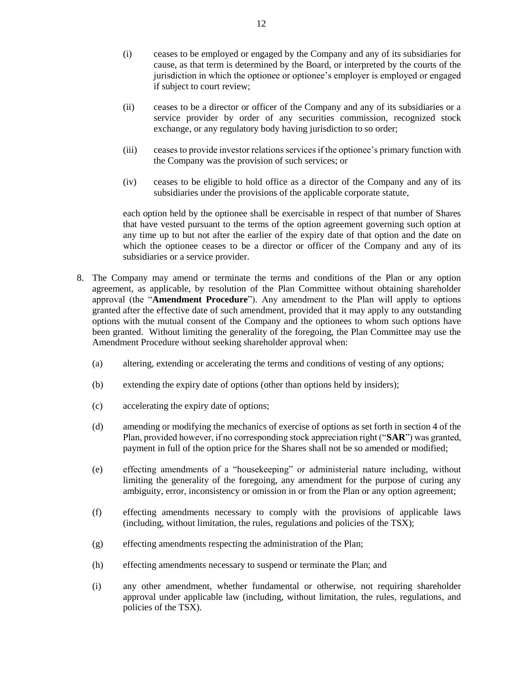- (i) ceases to be employed or engaged by the Company and any of its subsidiaries for cause, as that term is determined by the Board, or interpreted by the courts of the jurisdiction in which the optionee or optionee's employer is employed or engaged if subject to court review;
- (ii) ceases to be a director or officer of the Company and any of its subsidiaries or a service provider by order of any securities commission, recognized stock exchange, or any regulatory body having jurisdiction to so order;
- (iii) ceases to provide investor relations services if the optionee's primary function with the Company was the provision of such services; or
- (iv) ceases to be eligible to hold office as a director of the Company and any of its subsidiaries under the provisions of the applicable corporate statute,

each option held by the optionee shall be exercisable in respect of that number of Shares that have vested pursuant to the terms of the option agreement governing such option at any time up to but not after the earlier of the expiry date of that option and the date on which the optionee ceases to be a director or officer of the Company and any of its subsidiaries or a service provider.

- 8. The Company may amend or terminate the terms and conditions of the Plan or any option agreement, as applicable, by resolution of the Plan Committee without obtaining shareholder approval (the "**Amendment Procedure**"). Any amendment to the Plan will apply to options granted after the effective date of such amendment, provided that it may apply to any outstanding options with the mutual consent of the Company and the optionees to whom such options have been granted. Without limiting the generality of the foregoing, the Plan Committee may use the Amendment Procedure without seeking shareholder approval when:
	- (a) altering, extending or accelerating the terms and conditions of vesting of any options;
	- (b) extending the expiry date of options (other than options held by insiders);
	- (c) accelerating the expiry date of options;
	- (d) amending or modifying the mechanics of exercise of options as set forth in section 4 of the Plan, provided however, if no corresponding stock appreciation right ("**SAR**") was granted, payment in full of the option price for the Shares shall not be so amended or modified;
	- (e) effecting amendments of a "housekeeping" or administerial nature including, without limiting the generality of the foregoing, any amendment for the purpose of curing any ambiguity, error, inconsistency or omission in or from the Plan or any option agreement;
	- (f) effecting amendments necessary to comply with the provisions of applicable laws (including, without limitation, the rules, regulations and policies of the TSX);
	- (g) effecting amendments respecting the administration of the Plan;
	- (h) effecting amendments necessary to suspend or terminate the Plan; and
	- (i) any other amendment, whether fundamental or otherwise, not requiring shareholder approval under applicable law (including, without limitation, the rules, regulations, and policies of the TSX).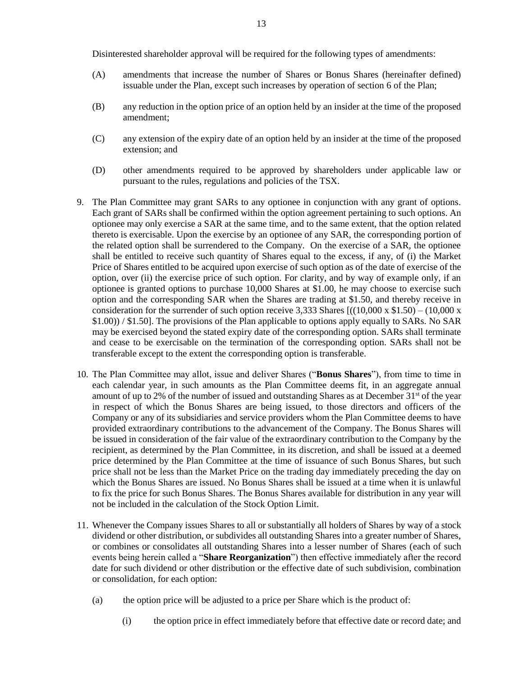Disinterested shareholder approval will be required for the following types of amendments:

- (A) amendments that increase the number of Shares or Bonus Shares (hereinafter defined) issuable under the Plan, except such increases by operation of section 6 of the Plan;
- (B) any reduction in the option price of an option held by an insider at the time of the proposed amendment;
- (C) any extension of the expiry date of an option held by an insider at the time of the proposed extension; and
- (D) other amendments required to be approved by shareholders under applicable law or pursuant to the rules, regulations and policies of the TSX.
- 9. The Plan Committee may grant SARs to any optionee in conjunction with any grant of options. Each grant of SARs shall be confirmed within the option agreement pertaining to such options. An optionee may only exercise a SAR at the same time, and to the same extent, that the option related thereto is exercisable. Upon the exercise by an optionee of any SAR, the corresponding portion of the related option shall be surrendered to the Company. On the exercise of a SAR, the optionee shall be entitled to receive such quantity of Shares equal to the excess, if any, of (i) the Market Price of Shares entitled to be acquired upon exercise of such option as of the date of exercise of the option, over (ii) the exercise price of such option. For clarity, and by way of example only, if an optionee is granted options to purchase 10,000 Shares at \$1.00, he may choose to exercise such option and the corresponding SAR when the Shares are trading at \$1.50, and thereby receive in consideration for the surrender of such option receive 3,333 Shares  $[(10,000 \times $1.50) - (10,000 \times $1.50)$ \$1.00)) / \$1.50]. The provisions of the Plan applicable to options apply equally to SARs. No SAR may be exercised beyond the stated expiry date of the corresponding option. SARs shall terminate and cease to be exercisable on the termination of the corresponding option. SARs shall not be transferable except to the extent the corresponding option is transferable.
- 10. The Plan Committee may allot, issue and deliver Shares ("**Bonus Shares**"), from time to time in each calendar year, in such amounts as the Plan Committee deems fit, in an aggregate annual amount of up to 2% of the number of issued and outstanding Shares as at December  $31<sup>st</sup>$  of the year in respect of which the Bonus Shares are being issued, to those directors and officers of the Company or any of its subsidiaries and service providers whom the Plan Committee deems to have provided extraordinary contributions to the advancement of the Company. The Bonus Shares will be issued in consideration of the fair value of the extraordinary contribution to the Company by the recipient, as determined by the Plan Committee, in its discretion, and shall be issued at a deemed price determined by the Plan Committee at the time of issuance of such Bonus Shares, but such price shall not be less than the Market Price on the trading day immediately preceding the day on which the Bonus Shares are issued. No Bonus Shares shall be issued at a time when it is unlawful to fix the price for such Bonus Shares. The Bonus Shares available for distribution in any year will not be included in the calculation of the Stock Option Limit.
- 11. Whenever the Company issues Shares to all or substantially all holders of Shares by way of a stock dividend or other distribution, or subdivides all outstanding Shares into a greater number of Shares, or combines or consolidates all outstanding Shares into a lesser number of Shares (each of such events being herein called a "**Share Reorganization**") then effective immediately after the record date for such dividend or other distribution or the effective date of such subdivision, combination or consolidation, for each option:
	- (a) the option price will be adjusted to a price per Share which is the product of:
		- (i) the option price in effect immediately before that effective date or record date; and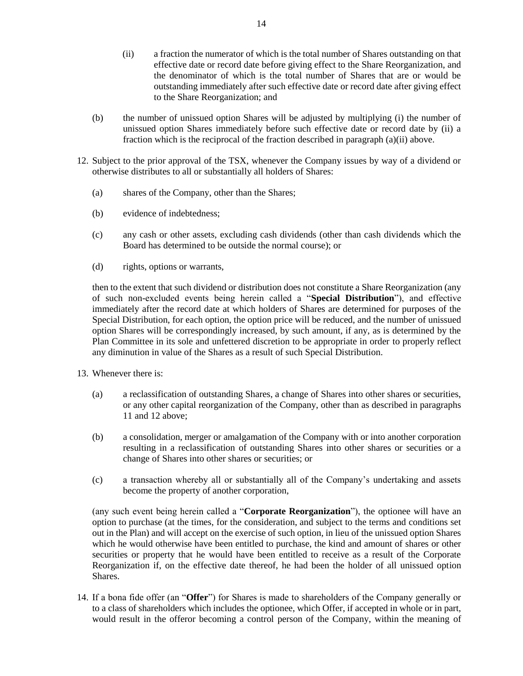- (ii) a fraction the numerator of which is the total number of Shares outstanding on that effective date or record date before giving effect to the Share Reorganization, and the denominator of which is the total number of Shares that are or would be outstanding immediately after such effective date or record date after giving effect to the Share Reorganization; and
- (b) the number of unissued option Shares will be adjusted by multiplying (i) the number of unissued option Shares immediately before such effective date or record date by (ii) a fraction which is the reciprocal of the fraction described in paragraph (a)(ii) above.
- 12. Subject to the prior approval of the TSX, whenever the Company issues by way of a dividend or otherwise distributes to all or substantially all holders of Shares:
	- (a) shares of the Company, other than the Shares;
	- (b) evidence of indebtedness;
	- (c) any cash or other assets, excluding cash dividends (other than cash dividends which the Board has determined to be outside the normal course); or
	- (d) rights, options or warrants,

then to the extent that such dividend or distribution does not constitute a Share Reorganization (any of such non-excluded events being herein called a "**Special Distribution**"), and effective immediately after the record date at which holders of Shares are determined for purposes of the Special Distribution, for each option, the option price will be reduced, and the number of unissued option Shares will be correspondingly increased, by such amount, if any, as is determined by the Plan Committee in its sole and unfettered discretion to be appropriate in order to properly reflect any diminution in value of the Shares as a result of such Special Distribution.

- 13. Whenever there is:
	- (a) a reclassification of outstanding Shares, a change of Shares into other shares or securities, or any other capital reorganization of the Company, other than as described in paragraphs 11 and 12 above;
	- (b) a consolidation, merger or amalgamation of the Company with or into another corporation resulting in a reclassification of outstanding Shares into other shares or securities or a change of Shares into other shares or securities; or
	- (c) a transaction whereby all or substantially all of the Company's undertaking and assets become the property of another corporation,

(any such event being herein called a "**Corporate Reorganization**"), the optionee will have an option to purchase (at the times, for the consideration, and subject to the terms and conditions set out in the Plan) and will accept on the exercise of such option, in lieu of the unissued option Shares which he would otherwise have been entitled to purchase, the kind and amount of shares or other securities or property that he would have been entitled to receive as a result of the Corporate Reorganization if, on the effective date thereof, he had been the holder of all unissued option Shares.

14. If a bona fide offer (an "**Offer**") for Shares is made to shareholders of the Company generally or to a class of shareholders which includes the optionee, which Offer, if accepted in whole or in part, would result in the offeror becoming a control person of the Company, within the meaning of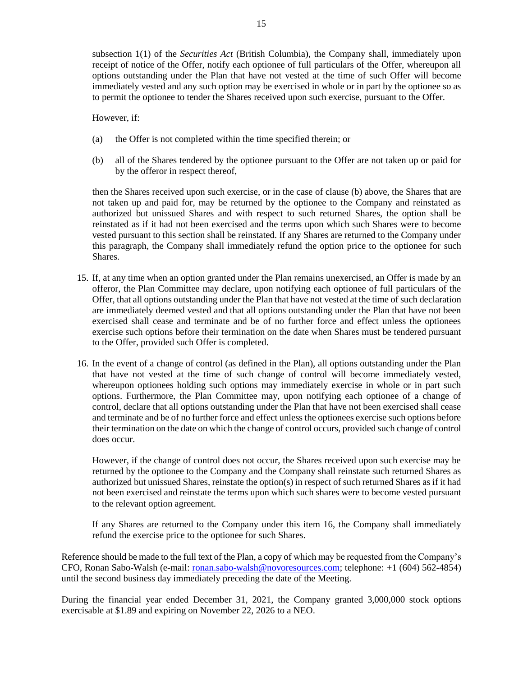subsection 1(1) of the *Securities Act* (British Columbia), the Company shall, immediately upon receipt of notice of the Offer, notify each optionee of full particulars of the Offer, whereupon all options outstanding under the Plan that have not vested at the time of such Offer will become immediately vested and any such option may be exercised in whole or in part by the optionee so as to permit the optionee to tender the Shares received upon such exercise, pursuant to the Offer.

However, if:

- (a) the Offer is not completed within the time specified therein; or
- (b) all of the Shares tendered by the optionee pursuant to the Offer are not taken up or paid for by the offeror in respect thereof,

then the Shares received upon such exercise, or in the case of clause (b) above, the Shares that are not taken up and paid for, may be returned by the optionee to the Company and reinstated as authorized but unissued Shares and with respect to such returned Shares, the option shall be reinstated as if it had not been exercised and the terms upon which such Shares were to become vested pursuant to this section shall be reinstated. If any Shares are returned to the Company under this paragraph, the Company shall immediately refund the option price to the optionee for such Shares.

- 15. If, at any time when an option granted under the Plan remains unexercised, an Offer is made by an offeror, the Plan Committee may declare, upon notifying each optionee of full particulars of the Offer, that all options outstanding under the Plan that have not vested at the time of such declaration are immediately deemed vested and that all options outstanding under the Plan that have not been exercised shall cease and terminate and be of no further force and effect unless the optionees exercise such options before their termination on the date when Shares must be tendered pursuant to the Offer, provided such Offer is completed.
- 16. In the event of a change of control (as defined in the Plan), all options outstanding under the Plan that have not vested at the time of such change of control will become immediately vested, whereupon optionees holding such options may immediately exercise in whole or in part such options. Furthermore, the Plan Committee may, upon notifying each optionee of a change of control, declare that all options outstanding under the Plan that have not been exercised shall cease and terminate and be of no further force and effect unless the optionees exercise such options before their termination on the date on which the change of control occurs, provided such change of control does occur.

However, if the change of control does not occur, the Shares received upon such exercise may be returned by the optionee to the Company and the Company shall reinstate such returned Shares as authorized but unissued Shares, reinstate the option(s) in respect of such returned Shares as if it had not been exercised and reinstate the terms upon which such shares were to become vested pursuant to the relevant option agreement.

If any Shares are returned to the Company under this item 16, the Company shall immediately refund the exercise price to the optionee for such Shares.

Reference should be made to the full text of the Plan, a copy of which may be requested from the Company's CFO, Ronan Sabo-Walsh (e-mail: [ronan.](mailto:hilbert@cibt.net)sabo-walsh@novoresources.com; telephone: +1 (604) 562-4854) until the second business day immediately preceding the date of the Meeting.

During the financial year ended December 31, 2021, the Company granted 3,000,000 stock options exercisable at \$1.89 and expiring on November 22, 2026 to a NEO.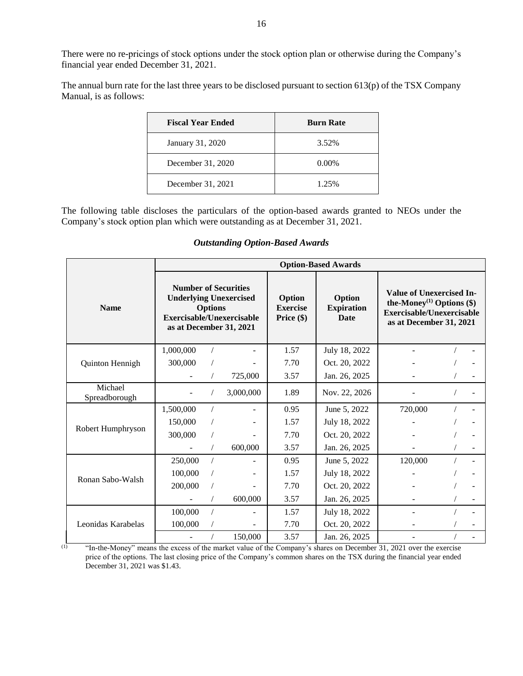There were no re-pricings of stock options under the stock option plan or otherwise during the Company's financial year ended December 31, 2021.

The annual burn rate for the last three years to be disclosed pursuant to section 613(p) of the TSX Company Manual, is as follows:

| <b>Fiscal Year Ended</b> | <b>Burn Rate</b> |
|--------------------------|------------------|
| January 31, 2020         | 3.52%            |
| December 31, 2020        | $0.00\%$         |
| December 31, 2021        | 1.25%            |

The following table discloses the particulars of the option-based awards granted to NEOs under the Company's stock option plan which were outstanding as at December 31, 2021.

|                          | <b>Option-Based Awards</b>                                                                                                             |  |           |      |               |         |                                            |                                                                                                                                    |  |  |
|--------------------------|----------------------------------------------------------------------------------------------------------------------------------------|--|-----------|------|---------------|---------|--------------------------------------------|------------------------------------------------------------------------------------------------------------------------------------|--|--|
| <b>Name</b>              | <b>Number of Securities</b><br><b>Underlying Unexercised</b><br><b>Options</b><br>Exercisable/Unexercisable<br>as at December 31, 2021 |  |           |      |               |         | Option<br><b>Expiration</b><br><b>Date</b> | Value of Unexercised In-<br>the-Money <sup>(1)</sup> Options $(\$)$<br><b>Exercisable/Unexercisable</b><br>as at December 31, 2021 |  |  |
|                          | 1,000,000                                                                                                                              |  |           | 1.57 | July 18, 2022 |         |                                            |                                                                                                                                    |  |  |
| Quinton Hennigh          | 300,000                                                                                                                                |  |           | 7.70 | Oct. 20, 2022 |         |                                            |                                                                                                                                    |  |  |
|                          |                                                                                                                                        |  | 725,000   | 3.57 | Jan. 26, 2025 |         |                                            |                                                                                                                                    |  |  |
| Michael<br>Spreadborough |                                                                                                                                        |  | 3,000,000 | 1.89 | Nov. 22, 2026 |         |                                            |                                                                                                                                    |  |  |
|                          | 1,500,000                                                                                                                              |  |           | 0.95 | June 5, 2022  | 720,000 |                                            |                                                                                                                                    |  |  |
|                          | 150,000                                                                                                                                |  |           | 1.57 | July 18, 2022 |         |                                            |                                                                                                                                    |  |  |
| Robert Humphryson        | 300,000                                                                                                                                |  |           | 7.70 | Oct. 20, 2022 |         |                                            |                                                                                                                                    |  |  |
|                          |                                                                                                                                        |  | 600,000   | 3.57 | Jan. 26, 2025 |         |                                            |                                                                                                                                    |  |  |
|                          | 250,000                                                                                                                                |  |           | 0.95 | June 5, 2022  | 120,000 |                                            |                                                                                                                                    |  |  |
|                          | 100,000                                                                                                                                |  |           | 1.57 | July 18, 2022 |         |                                            |                                                                                                                                    |  |  |
| Ronan Sabo-Walsh         | 200,000                                                                                                                                |  |           | 7.70 | Oct. 20, 2022 |         |                                            |                                                                                                                                    |  |  |
|                          |                                                                                                                                        |  | 600,000   | 3.57 | Jan. 26, 2025 |         |                                            |                                                                                                                                    |  |  |
|                          | 100,000                                                                                                                                |  |           | 1.57 | July 18, 2022 |         |                                            |                                                                                                                                    |  |  |
| Leonidas Karabelas       | 100,000                                                                                                                                |  |           | 7.70 | Oct. 20, 2022 |         |                                            |                                                                                                                                    |  |  |
|                          |                                                                                                                                        |  | 150,000   | 3.57 | Jan. 26, 2025 |         |                                            |                                                                                                                                    |  |  |

## *Outstanding Option-Based Awards*

(1) "In-the-Money" means the excess of the market value of the Company's shares on December 31, 2021 over the exercise price of the options. The last closing price of the Company's common shares on the TSX during the financial year ended December 31, 2021 was \$1.43.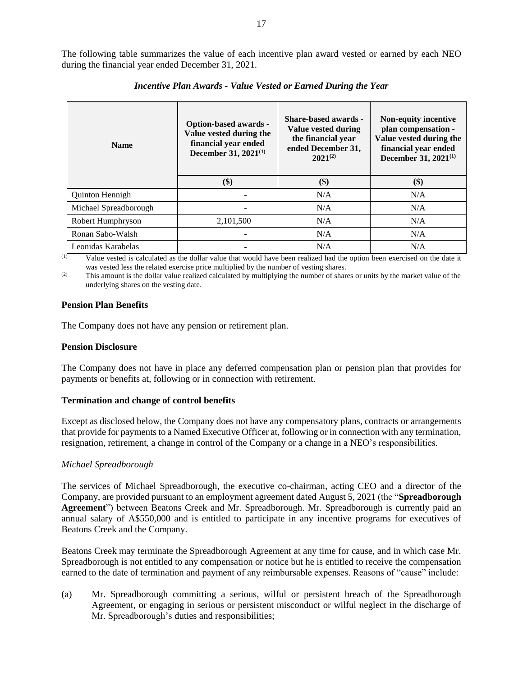The following table summarizes the value of each incentive plan award vested or earned by each NEO during the financial year ended December 31, 2021.

| <b>Name</b>           | <b>Option-based awards -</b><br>Value vested during the<br>financial year ended<br>December 31, 2021 <sup>(1)</sup> | <b>Share-based awards -</b><br>Value vested during<br>the financial year<br>ended December 31,<br>$2021^{(2)}$ | Non-equity incentive<br>plan compensation -<br>Value vested during the<br>financial year ended<br>December 31, 2021 <sup>(1)</sup> |
|-----------------------|---------------------------------------------------------------------------------------------------------------------|----------------------------------------------------------------------------------------------------------------|------------------------------------------------------------------------------------------------------------------------------------|
|                       | \$)                                                                                                                 | \$)                                                                                                            | \$)                                                                                                                                |
| Quinton Hennigh       |                                                                                                                     | N/A                                                                                                            | N/A                                                                                                                                |
| Michael Spreadborough |                                                                                                                     | N/A                                                                                                            | N/A                                                                                                                                |
| Robert Humphryson     | 2,101,500                                                                                                           | N/A                                                                                                            | N/A                                                                                                                                |
| Ronan Sabo-Walsh      |                                                                                                                     | N/A                                                                                                            | N/A                                                                                                                                |
| Leonidas Karabelas    |                                                                                                                     | N/A                                                                                                            | N/A                                                                                                                                |

*Incentive Plan Awards - Value Vested or Earned During the Year*

(1) Value vested is calculated as the dollar value that would have been realized had the option been exercised on the date it was vested less the related exercise price multiplied by the number of vesting shares.

(2) This amount is the dollar value realized calculated by multiplying the number of shares or units by the market value of the underlying shares on the vesting date.

## **Pension Plan Benefits**

The Company does not have any pension or retirement plan.

#### **Pension Disclosure**

The Company does not have in place any deferred compensation plan or pension plan that provides for payments or benefits at, following or in connection with retirement.

#### **Termination and change of control benefits**

Except as disclosed below, the Company does not have any compensatory plans, contracts or arrangements that provide for payments to a Named Executive Officer at, following or in connection with any termination, resignation, retirement, a change in control of the Company or a change in a NEO's responsibilities.

## *Michael Spreadborough*

The services of Michael Spreadborough, the executive co-chairman, acting CEO and a director of the Company, are provided pursuant to an employment agreement dated August 5, 2021 (the "**Spreadborough Agreement**") between Beatons Creek and Mr. Spreadborough. Mr. Spreadborough is currently paid an annual salary of A\$550,000 and is entitled to participate in any incentive programs for executives of Beatons Creek and the Company.

Beatons Creek may terminate the Spreadborough Agreement at any time for cause, and in which case Mr. Spreadborough is not entitled to any compensation or notice but he is entitled to receive the compensation earned to the date of termination and payment of any reimbursable expenses. Reasons of "cause" include:

(a) Mr. Spreadborough committing a serious, wilful or persistent breach of the Spreadborough Agreement, or engaging in serious or persistent misconduct or wilful neglect in the discharge of Mr. Spreadborough's duties and responsibilities;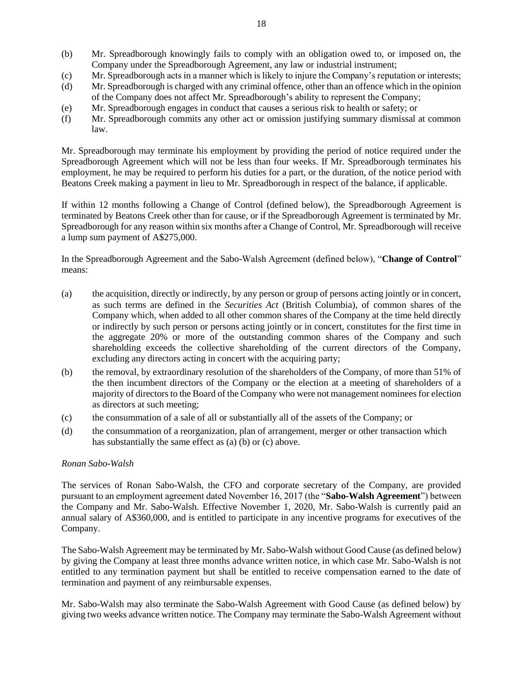- (b) Mr. Spreadborough knowingly fails to comply with an obligation owed to, or imposed on, the Company under the Spreadborough Agreement, any law or industrial instrument;
- (c) Mr. Spreadborough acts in a manner which is likely to injure the Company's reputation or interests;
- (d) Mr. Spreadborough is charged with any criminal offence, other than an offence which in the opinion of the Company does not affect Mr. Spreadborough's ability to represent the Company;
- (e) Mr. Spreadborough engages in conduct that causes a serious risk to health or safety; or
- (f) Mr. Spreadborough commits any other act or omission justifying summary dismissal at common law.

Mr. Spreadborough may terminate his employment by providing the period of notice required under the Spreadborough Agreement which will not be less than four weeks. If Mr. Spreadborough terminates his employment, he may be required to perform his duties for a part, or the duration, of the notice period with Beatons Creek making a payment in lieu to Mr. Spreadborough in respect of the balance, if applicable.

If within 12 months following a Change of Control (defined below), the Spreadborough Agreement is terminated by Beatons Creek other than for cause, or if the Spreadborough Agreement is terminated by Mr. Spreadborough for any reason within six months after a Change of Control, Mr. Spreadborough will receive a lump sum payment of A\$275,000.

In the Spreadborough Agreement and the Sabo-Walsh Agreement (defined below), "**Change of Control**" means:

- (a) the acquisition, directly or indirectly, by any person or group of persons acting jointly or in concert, as such terms are defined in the *Securities Act* (British Columbia), of common shares of the Company which, when added to all other common shares of the Company at the time held directly or indirectly by such person or persons acting jointly or in concert, constitutes for the first time in the aggregate 20% or more of the outstanding common shares of the Company and such shareholding exceeds the collective shareholding of the current directors of the Company, excluding any directors acting in concert with the acquiring party;
- (b) the removal, by extraordinary resolution of the shareholders of the Company, of more than 51% of the then incumbent directors of the Company or the election at a meeting of shareholders of a majority of directors to the Board of the Company who were not management nominees for election as directors at such meeting;
- (c) the consummation of a sale of all or substantially all of the assets of the Company; or
- (d) the consummation of a reorganization, plan of arrangement, merger or other transaction which has substantially the same effect as  $(a)$   $(b)$  or  $(c)$  above.

## *Ronan Sabo-Walsh*

The services of Ronan Sabo-Walsh, the CFO and corporate secretary of the Company, are provided pursuant to an employment agreement dated November 16, 2017 (the "**Sabo-Walsh Agreement**") between the Company and Mr. Sabo-Walsh. Effective November 1, 2020, Mr. Sabo-Walsh is currently paid an annual salary of A\$360,000, and is entitled to participate in any incentive programs for executives of the Company.

The Sabo-Walsh Agreement may be terminated by Mr. Sabo-Walsh without Good Cause (as defined below) by giving the Company at least three months advance written notice, in which case Mr. Sabo-Walsh is not entitled to any termination payment but shall be entitled to receive compensation earned to the date of termination and payment of any reimbursable expenses.

Mr. Sabo-Walsh may also terminate the Sabo-Walsh Agreement with Good Cause (as defined below) by giving two weeks advance written notice. The Company may terminate the Sabo-Walsh Agreement without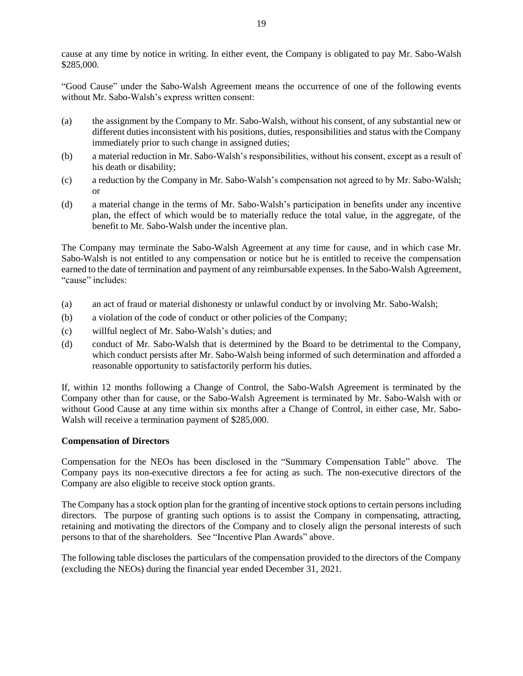cause at any time by notice in writing. In either event, the Company is obligated to pay Mr. Sabo-Walsh \$285,000.

"Good Cause" under the Sabo-Walsh Agreement means the occurrence of one of the following events without Mr. Sabo-Walsh's express written consent:

- (a) the assignment by the Company to Mr. Sabo-Walsh, without his consent, of any substantial new or different duties inconsistent with his positions, duties, responsibilities and status with the Company immediately prior to such change in assigned duties;
- (b) a material reduction in Mr. Sabo-Walsh's responsibilities, without his consent, except as a result of his death or disability;
- (c) a reduction by the Company in Mr. Sabo-Walsh's compensation not agreed to by Mr. Sabo-Walsh; or
- (d) a material change in the terms of Mr. Sabo-Walsh's participation in benefits under any incentive plan, the effect of which would be to materially reduce the total value, in the aggregate, of the benefit to Mr. Sabo-Walsh under the incentive plan.

The Company may terminate the Sabo-Walsh Agreement at any time for cause, and in which case Mr. Sabo-Walsh is not entitled to any compensation or notice but he is entitled to receive the compensation earned to the date of termination and payment of any reimbursable expenses. In the Sabo-Walsh Agreement, "cause" includes:

- (a) an act of fraud or material dishonesty or unlawful conduct by or involving Mr. Sabo-Walsh;
- (b) a violation of the code of conduct or other policies of the Company;
- (c) willful neglect of Mr. Sabo-Walsh's duties; and
- (d) conduct of Mr. Sabo-Walsh that is determined by the Board to be detrimental to the Company, which conduct persists after Mr. Sabo-Walsh being informed of such determination and afforded a reasonable opportunity to satisfactorily perform his duties.

If, within 12 months following a Change of Control, the Sabo-Walsh Agreement is terminated by the Company other than for cause, or the Sabo-Walsh Agreement is terminated by Mr. Sabo-Walsh with or without Good Cause at any time within six months after a Change of Control, in either case, Mr. Sabo-Walsh will receive a termination payment of \$285,000.

## **Compensation of Directors**

Compensation for the NEOs has been disclosed in the "Summary Compensation Table" above. The Company pays its non-executive directors a fee for acting as such. The non-executive directors of the Company are also eligible to receive stock option grants.

The Company has a stock option plan for the granting of incentive stock options to certain persons including directors. The purpose of granting such options is to assist the Company in compensating, attracting, retaining and motivating the directors of the Company and to closely align the personal interests of such persons to that of the shareholders. See "Incentive Plan Awards" above.

The following table discloses the particulars of the compensation provided to the directors of the Company (excluding the NEOs) during the financial year ended December 31, 2021.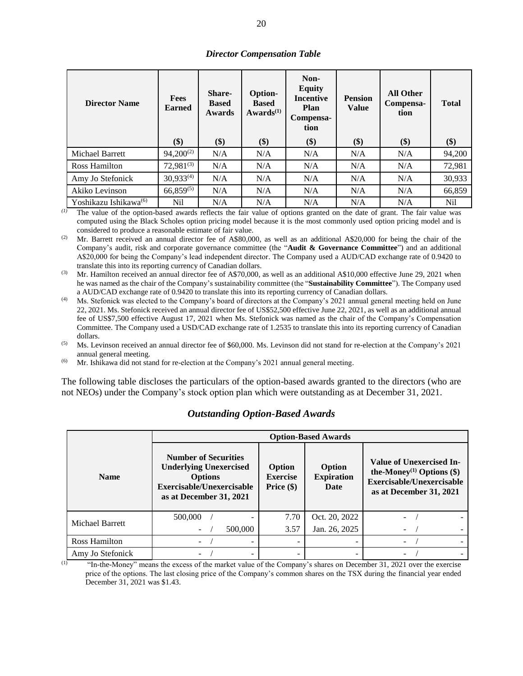|  | <b>Director Compensation Table</b> |  |
|--|------------------------------------|--|
|--|------------------------------------|--|

| <b>Director Name</b>              | <b>Fees</b><br><b>Earned</b> | <b>Share-</b><br><b>Based</b><br><b>Awards</b> | <b>Option-</b><br><b>Based</b><br>Awards <sup>(1)</sup> | Non-<br><b>Equity</b><br><b>Incentive</b><br>Plan<br>Compensa-<br>tion | <b>Pension</b><br><b>Value</b> | <b>All Other</b><br>Compensa-<br>tion | <b>Total</b> |
|-----------------------------------|------------------------------|------------------------------------------------|---------------------------------------------------------|------------------------------------------------------------------------|--------------------------------|---------------------------------------|--------------|
|                                   | \$)                          | \$)                                            | \$)                                                     | \$)                                                                    | \$)                            | \$)                                   | $($)$        |
| <b>Michael Barrett</b>            | $94,200^{(2)}$               | N/A                                            | N/A                                                     | N/A                                                                    | N/A                            | N/A                                   | 94,200       |
| Ross Hamilton                     | $72,981^{(3)}$               | N/A                                            | N/A                                                     | N/A                                                                    | N/A                            | N/A                                   | 72,981       |
| Amy Jo Stefonick                  | $30,933^{(4)}$               | N/A                                            | N/A                                                     | N/A                                                                    | N/A                            | N/A                                   | 30,933       |
| Akiko Levinson                    | $66,859^{(5)}$               | N/A                                            | N/A                                                     | N/A                                                                    | N/A                            | N/A                                   | 66,859       |
| Yoshikazu Ishikawa <sup>(6)</sup> | Nil                          | N/A                                            | N/A                                                     | N/A                                                                    | N/A                            | N/A                                   | Nil          |

*(1)* The value of the option-based awards reflects the fair value of options granted on the date of grant. The fair value was computed using the Black Scholes option pricing model because it is the most commonly used option pricing model and is considered to produce a reasonable estimate of fair value.

(2) Mr. Barrett received an annual director fee of A\$80,000, as well as an additional A\$20,000 for being the chair of the Company's audit, risk and corporate governance committee (the "**Audit & Governance Committee**") and an additional A\$20,000 for being the Company's lead independent director. The Company used a AUD/CAD exchange rate of 0.9420 to translate this into its reporting currency of Canadian dollars.

 $^{(3)}$  Mr. Hamilton received an annual director fee of A\$70,000, as well as an additional A\$10,000 effective June 29, 2021 when he was named as the chair of the Company's sustainability committee (the "**Sustainability Committee**"). The Company used a AUD/CAD exchange rate of 0.9420 to translate this into its reporting currency of Canadian dollars.

Ms. Stefonick was elected to the Company's board of directors at the Company's 2021 annual general meeting held on June 22, 2021. Ms. Stefonick received an annual director fee of US\$52,500 effective June 22, 2021, as well as an additional annual fee of US\$7,500 effective August 17, 2021 when Ms. Stefonick was named as the chair of the Company's Compensation Committee. The Company used a USD/CAD exchange rate of 1.2535 to translate this into its reporting currency of Canadian dollars.

(5) Ms. Levinson received an annual director fee of \$60,000. Ms. Levinson did not stand for re-election at the Company's 2021 annual general meeting.

(6) Mr. Ishikawa did not stand for re-election at the Company's 2021 annual general meeting.

The following table discloses the particulars of the option-based awards granted to the directors (who are not NEOs) under the Company's stock option plan which were outstanding as at December 31, 2021.

|                  |                                                                                                                                        | <b>Option-Based Awards</b>                |                                     |                                                                                                                                    |  |  |  |
|------------------|----------------------------------------------------------------------------------------------------------------------------------------|-------------------------------------------|-------------------------------------|------------------------------------------------------------------------------------------------------------------------------------|--|--|--|
| <b>Name</b>      | <b>Number of Securities</b><br><b>Underlying Unexercised</b><br><b>Options</b><br>Exercisable/Unexercisable<br>as at December 31, 2021 | Option<br><b>Exercise</b><br>Price $(\$)$ | Option<br><b>Expiration</b><br>Date | Value of Unexercised In-<br>the-Money <sup>(1)</sup> Options $(\$)$<br><b>Exercisable/Unexercisable</b><br>as at December 31, 2021 |  |  |  |
| Michael Barrett  | 500,000                                                                                                                                | 7.70                                      | Oct. 20, 2022                       |                                                                                                                                    |  |  |  |
|                  | 500,000                                                                                                                                | 3.57                                      | Jan. 26, 2025                       |                                                                                                                                    |  |  |  |
| Ross Hamilton    |                                                                                                                                        |                                           |                                     |                                                                                                                                    |  |  |  |
| Amy Jo Stefonick |                                                                                                                                        |                                           |                                     |                                                                                                                                    |  |  |  |

# *Outstanding Option-Based Awards*

(1) "In-the-Money" means the excess of the market value of the Company's shares on December 31, 2021 over the exercise price of the options. The last closing price of the Company's common shares on the TSX during the financial year ended December 31, 2021 was \$1.43.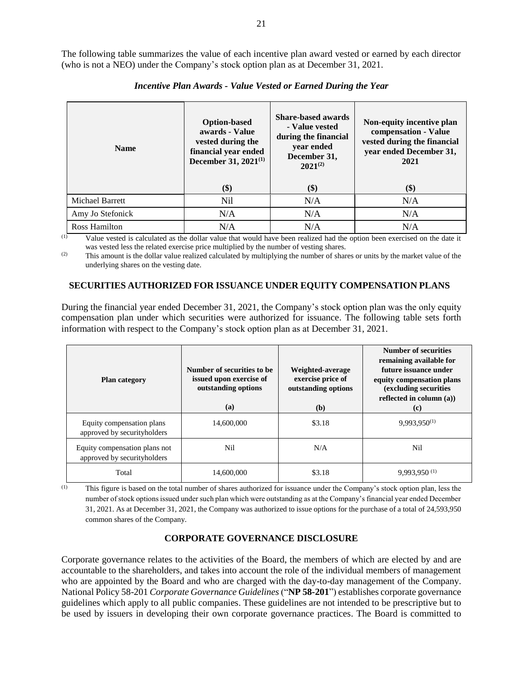The following table summarizes the value of each incentive plan award vested or earned by each director (who is not a NEO) under the Company's stock option plan as at December 31, 2021.

| <b>Name</b>      | <b>Option-based</b><br>awards - Value<br>vested during the<br>financial year ended<br>December 31, 2021 <sup>(1)</sup> |            | Non-equity incentive plan<br>compensation - Value<br>vested during the financial<br>year ended December 31,<br>2021<br>\$) |
|------------------|------------------------------------------------------------------------------------------------------------------------|------------|----------------------------------------------------------------------------------------------------------------------------|
| Michael Barrett  | \$)<br><b>Nil</b>                                                                                                      | \$)<br>N/A | N/A                                                                                                                        |
| Amy Jo Stefonick | N/A                                                                                                                    | N/A        | N/A                                                                                                                        |
| Ross Hamilton    | N/A                                                                                                                    | N/A        | N/A                                                                                                                        |

## *Incentive Plan Awards - Value Vested or Earned During the Year*

(1) Value vested is calculated as the dollar value that would have been realized had the option been exercised on the date it was vested less the related exercise price multiplied by the number of vesting shares.

(2) This amount is the dollar value realized calculated by multiplying the number of shares or units by the market value of the underlying shares on the vesting date.

#### **SECURITIES AUTHORIZED FOR ISSUANCE UNDER EQUITY COMPENSATION PLANS**

During the financial year ended December 31, 2021, the Company's stock option plan was the only equity compensation plan under which securities were authorized for issuance. The following table sets forth information with respect to the Company's stock option plan as at December 31, 2021.

| <b>Plan category</b>                                         | Number of securities to be<br>issued upon exercise of<br>outstanding options<br>(a) | Weighted-average<br>exercise price of<br>outstanding options<br>(b) | <b>Number of securities</b><br>remaining available for<br>future issuance under<br>equity compensation plans<br>(excluding securities<br>reflected in column $(a)$ )<br>(c) |
|--------------------------------------------------------------|-------------------------------------------------------------------------------------|---------------------------------------------------------------------|-----------------------------------------------------------------------------------------------------------------------------------------------------------------------------|
| Equity compensation plans<br>approved by securityholders     | 14,600,000                                                                          | \$3.18                                                              | $9.993.950^{(1)}$                                                                                                                                                           |
| Equity compensation plans not<br>approved by securityholders | Nil                                                                                 | N/A                                                                 | Nil                                                                                                                                                                         |
| Total                                                        | 14,600,000                                                                          | \$3.18                                                              | $9,993,950$ <sup>(1)</sup>                                                                                                                                                  |

(1) This figure is based on the total number of shares authorized for issuance under the Company's stock option plan, less the number of stock options issued under such plan which were outstanding as at the Company's financial year ended December 31, 2021. As at December 31, 2021, the Company was authorized to issue options for the purchase of a total of 24,593,950 common shares of the Company.

## **CORPORATE GOVERNANCE DISCLOSURE**

Corporate governance relates to the activities of the Board, the members of which are elected by and are accountable to the shareholders, and takes into account the role of the individual members of management who are appointed by the Board and who are charged with the day-to-day management of the Company. National Policy 58-201 *Corporate Governance Guidelines* ("**NP 58-201**") establishes corporate governance guidelines which apply to all public companies. These guidelines are not intended to be prescriptive but to be used by issuers in developing their own corporate governance practices. The Board is committed to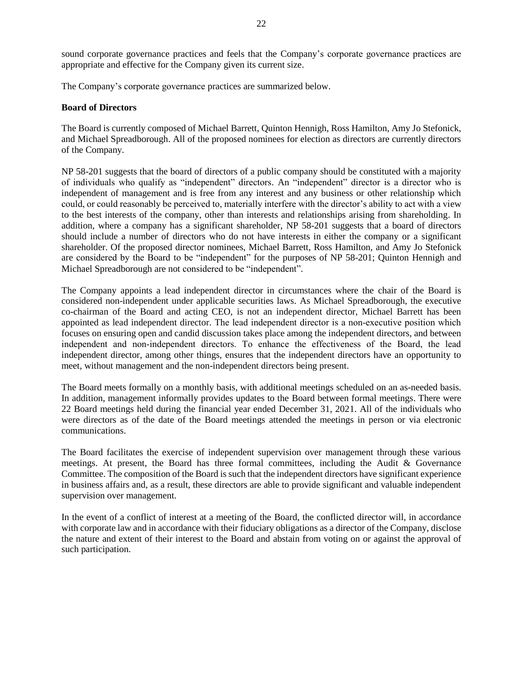sound corporate governance practices and feels that the Company's corporate governance practices are appropriate and effective for the Company given its current size.

The Company's corporate governance practices are summarized below.

### **Board of Directors**

The Board is currently composed of Michael Barrett, Quinton Hennigh, Ross Hamilton, Amy Jo Stefonick, and Michael Spreadborough. All of the proposed nominees for election as directors are currently directors of the Company.

NP 58-201 suggests that the board of directors of a public company should be constituted with a majority of individuals who qualify as "independent" directors. An "independent" director is a director who is independent of management and is free from any interest and any business or other relationship which could, or could reasonably be perceived to, materially interfere with the director's ability to act with a view to the best interests of the company, other than interests and relationships arising from shareholding. In addition, where a company has a significant shareholder, NP 58-201 suggests that a board of directors should include a number of directors who do not have interests in either the company or a significant shareholder. Of the proposed director nominees, Michael Barrett, Ross Hamilton, and Amy Jo Stefonick are considered by the Board to be "independent" for the purposes of NP 58-201; Quinton Hennigh and Michael Spreadborough are not considered to be "independent".

The Company appoints a lead independent director in circumstances where the chair of the Board is considered non-independent under applicable securities laws. As Michael Spreadborough, the executive co-chairman of the Board and acting CEO, is not an independent director, Michael Barrett has been appointed as lead independent director. The lead independent director is a non‐executive position which focuses on ensuring open and candid discussion takes place among the independent directors, and between independent and non‐independent directors. To enhance the effectiveness of the Board, the lead independent director, among other things, ensures that the independent directors have an opportunity to meet, without management and the non-independent directors being present.

The Board meets formally on a monthly basis, with additional meetings scheduled on an as-needed basis. In addition, management informally provides updates to the Board between formal meetings. There were 22 Board meetings held during the financial year ended December 31, 2021. All of the individuals who were directors as of the date of the Board meetings attended the meetings in person or via electronic communications.

The Board facilitates the exercise of independent supervision over management through these various meetings. At present, the Board has three formal committees, including the Audit & Governance Committee. The composition of the Board is such that the independent directors have significant experience in business affairs and, as a result, these directors are able to provide significant and valuable independent supervision over management.

In the event of a conflict of interest at a meeting of the Board, the conflicted director will, in accordance with corporate law and in accordance with their fiduciary obligations as a director of the Company, disclose the nature and extent of their interest to the Board and abstain from voting on or against the approval of such participation.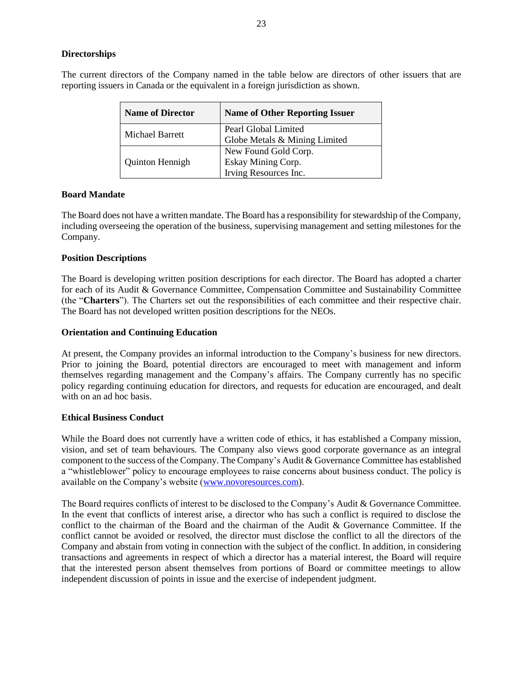## **Directorships**

The current directors of the Company named in the table below are directors of other issuers that are reporting issuers in Canada or the equivalent in a foreign jurisdiction as shown.

| <b>Name of Director</b> | <b>Name of Other Reporting Issuer</b>                               |
|-------------------------|---------------------------------------------------------------------|
| Michael Barrett         | Pearl Global Limited                                                |
|                         | Globe Metals & Mining Limited                                       |
|                         | New Found Gold Corp.<br>Eskay Mining Corp.<br>Irving Resources Inc. |
| Quinton Hennigh         |                                                                     |
|                         |                                                                     |

## **Board Mandate**

The Board does not have a written mandate. The Board has a responsibility for stewardship of the Company, including overseeing the operation of the business, supervising management and setting milestones for the Company.

### **Position Descriptions**

The Board is developing written position descriptions for each director. The Board has adopted a charter for each of its Audit & Governance Committee, Compensation Committee and Sustainability Committee (the "**Charters**"). The Charters set out the responsibilities of each committee and their respective chair. The Board has not developed written position descriptions for the NEOs.

### **Orientation and Continuing Education**

At present, the Company provides an informal introduction to the Company's business for new directors. Prior to joining the Board, potential directors are encouraged to meet with management and inform themselves regarding management and the Company's affairs. The Company currently has no specific policy regarding continuing education for directors, and requests for education are encouraged, and dealt with on an ad hoc basis.

## **Ethical Business Conduct**

While the Board does not currently have a written code of ethics, it has established a Company mission, vision, and set of team behaviours. The Company also views good corporate governance as an integral component to the success of the Company. The Company's Audit & Governance Committee has established a "whistleblower" policy to encourage employees to raise concerns about business conduct. The policy is available on the Company's website [\(www.novoresources.com\)](http://www.novoresources.com/).

The Board requires conflicts of interest to be disclosed to the Company's Audit & Governance Committee. In the event that conflicts of interest arise, a director who has such a conflict is required to disclose the conflict to the chairman of the Board and the chairman of the Audit & Governance Committee. If the conflict cannot be avoided or resolved, the director must disclose the conflict to all the directors of the Company and abstain from voting in connection with the subject of the conflict. In addition, in considering transactions and agreements in respect of which a director has a material interest, the Board will require that the interested person absent themselves from portions of Board or committee meetings to allow independent discussion of points in issue and the exercise of independent judgment.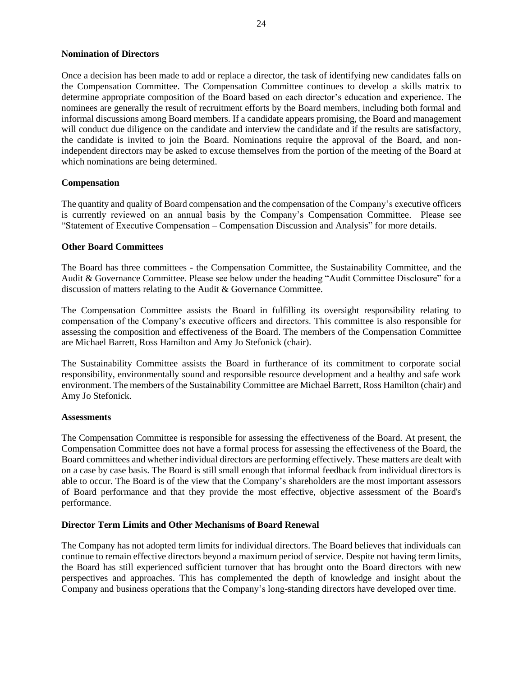### **Nomination of Directors**

Once a decision has been made to add or replace a director, the task of identifying new candidates falls on the Compensation Committee. The Compensation Committee continues to develop a skills matrix to determine appropriate composition of the Board based on each director's education and experience. The nominees are generally the result of recruitment efforts by the Board members, including both formal and informal discussions among Board members. If a candidate appears promising, the Board and management will conduct due diligence on the candidate and interview the candidate and if the results are satisfactory, the candidate is invited to join the Board. Nominations require the approval of the Board, and nonindependent directors may be asked to excuse themselves from the portion of the meeting of the Board at which nominations are being determined.

### **Compensation**

The quantity and quality of Board compensation and the compensation of the Company's executive officers is currently reviewed on an annual basis by the Company's Compensation Committee. Please see "Statement of Executive Compensation – Compensation Discussion and Analysis" for more details.

### **Other Board Committees**

The Board has three committees - the Compensation Committee, the Sustainability Committee, and the Audit & Governance Committee. Please see below under the heading "Audit Committee Disclosure" for a discussion of matters relating to the Audit & Governance Committee.

The Compensation Committee assists the Board in fulfilling its oversight responsibility relating to compensation of the Company's executive officers and directors. This committee is also responsible for assessing the composition and effectiveness of the Board. The members of the Compensation Committee are Michael Barrett, Ross Hamilton and Amy Jo Stefonick (chair).

The Sustainability Committee assists the Board in furtherance of its commitment to corporate social responsibility, environmentally sound and responsible resource development and a healthy and safe work environment. The members of the Sustainability Committee are Michael Barrett, Ross Hamilton (chair) and Amy Jo Stefonick.

#### **Assessments**

The Compensation Committee is responsible for assessing the effectiveness of the Board. At present, the Compensation Committee does not have a formal process for assessing the effectiveness of the Board, the Board committees and whether individual directors are performing effectively. These matters are dealt with on a case by case basis. The Board is still small enough that informal feedback from individual directors is able to occur. The Board is of the view that the Company's shareholders are the most important assessors of Board performance and that they provide the most effective, objective assessment of the Board's performance.

#### **Director Term Limits and Other Mechanisms of Board Renewal**

The Company has not adopted term limits for individual directors. The Board believes that individuals can continue to remain effective directors beyond a maximum period of service. Despite not having term limits, the Board has still experienced sufficient turnover that has brought onto the Board directors with new perspectives and approaches. This has complemented the depth of knowledge and insight about the Company and business operations that the Company's long-standing directors have developed over time.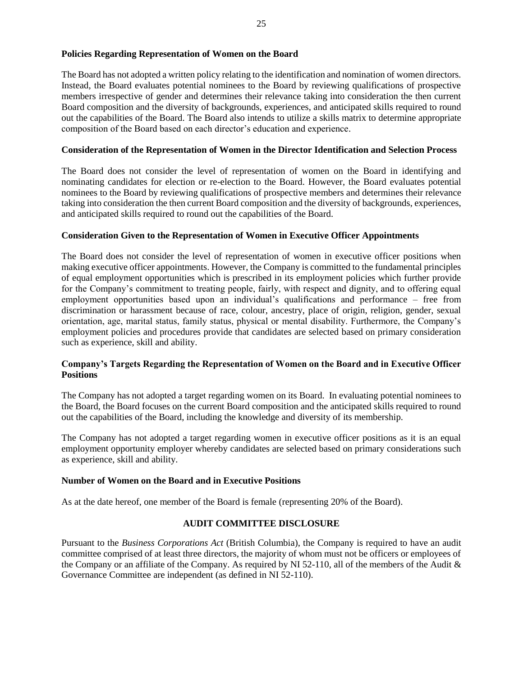## **Policies Regarding Representation of Women on the Board**

The Board has not adopted a written policy relating to the identification and nomination of women directors. Instead, the Board evaluates potential nominees to the Board by reviewing qualifications of prospective members irrespective of gender and determines their relevance taking into consideration the then current Board composition and the diversity of backgrounds, experiences, and anticipated skills required to round out the capabilities of the Board. The Board also intends to utilize a skills matrix to determine appropriate composition of the Board based on each director's education and experience.

## **Consideration of the Representation of Women in the Director Identification and Selection Process**

The Board does not consider the level of representation of women on the Board in identifying and nominating candidates for election or re-election to the Board. However, the Board evaluates potential nominees to the Board by reviewing qualifications of prospective members and determines their relevance taking into consideration the then current Board composition and the diversity of backgrounds, experiences, and anticipated skills required to round out the capabilities of the Board.

### **Consideration Given to the Representation of Women in Executive Officer Appointments**

The Board does not consider the level of representation of women in executive officer positions when making executive officer appointments. However, the Company is committed to the fundamental principles of equal employment opportunities which is prescribed in its employment policies which further provide for the Company's commitment to treating people, fairly, with respect and dignity, and to offering equal employment opportunities based upon an individual's qualifications and performance – free from discrimination or harassment because of race, colour, ancestry, place of origin, religion, gender, sexual orientation, age, marital status, family status, physical or mental disability. Furthermore, the Company's employment policies and procedures provide that candidates are selected based on primary consideration such as experience, skill and ability.

## **Company's Targets Regarding the Representation of Women on the Board and in Executive Officer Positions**

The Company has not adopted a target regarding women on its Board. In evaluating potential nominees to the Board, the Board focuses on the current Board composition and the anticipated skills required to round out the capabilities of the Board, including the knowledge and diversity of its membership.

The Company has not adopted a target regarding women in executive officer positions as it is an equal employment opportunity employer whereby candidates are selected based on primary considerations such as experience, skill and ability.

#### **Number of Women on the Board and in Executive Positions**

As at the date hereof, one member of the Board is female (representing 20% of the Board).

## **AUDIT COMMITTEE DISCLOSURE**

Pursuant to the *Business Corporations Act* (British Columbia), the Company is required to have an audit committee comprised of at least three directors, the majority of whom must not be officers or employees of the Company or an affiliate of the Company. As required by NI 52-110, all of the members of the Audit & Governance Committee are independent (as defined in NI 52-110).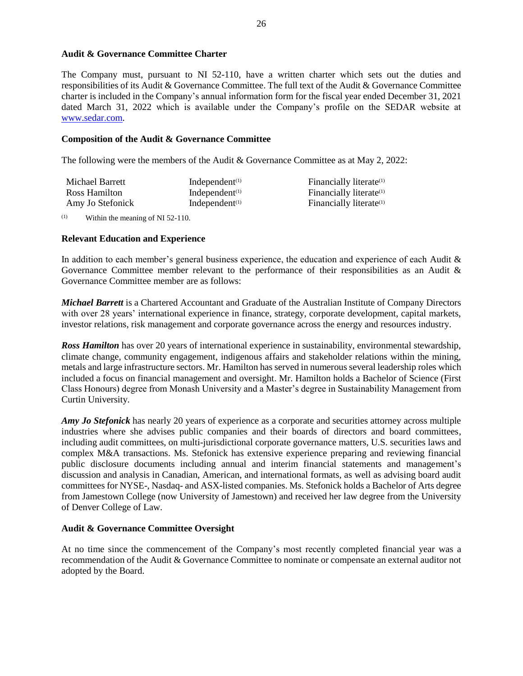### **Audit & Governance Committee Charter**

The Company must, pursuant to NI 52-110, have a written charter which sets out the duties and responsibilities of its Audit & Governance Committee. The full text of the Audit & Governance Committee charter is included in the Company's annual information form for the fiscal year ended December 31, 2021 dated March 31, 2022 which is available under the Company's profile on the SEDAR website at [www.sedar.com.](http://www.sedar.com/)

#### **Composition of the Audit & Governance Committee**

The following were the members of the Audit & Governance Committee as at May 2, 2022:

| Michael Barrett  | Independent $(1)$ | Financially literate <sup>(1)</sup> |
|------------------|-------------------|-------------------------------------|
| Ross Hamilton    | Independent $(1)$ | Financially literate <sup>(1)</sup> |
| Amy Jo Stefonick | Independent $(1)$ | Financially literate <sup>(1)</sup> |

 $\mu$ <sup>(1)</sup> Within the meaning of NI 52-110.

#### **Relevant Education and Experience**

In addition to each member's general business experience, the education and experience of each Audit & Governance Committee member relevant to the performance of their responsibilities as an Audit & Governance Committee member are as follows:

*Michael Barrett* is a Chartered Accountant and Graduate of the Australian Institute of Company Directors with over 28 years' international experience in finance, strategy, corporate development, capital markets, investor relations, risk management and corporate governance across the energy and resources industry.

*Ross Hamilton* has over 20 years of international experience in sustainability, environmental stewardship, climate change, community engagement, indigenous affairs and stakeholder relations within the mining, metals and large infrastructure sectors. Mr. Hamilton has served in numerous several leadership roles which included a focus on financial management and oversight. Mr. Hamilton holds a Bachelor of Science (First Class Honours) degree from Monash University and a Master's degree in Sustainability Management from Curtin University.

*Amy Jo Stefonick* has nearly 20 years of experience as a corporate and securities attorney across multiple industries where she advises public companies and their boards of directors and board committees, including audit committees, on multi-jurisdictional corporate governance matters, U.S. securities laws and complex M&A transactions. Ms. Stefonick has extensive experience preparing and reviewing financial public disclosure documents including annual and interim financial statements and management's discussion and analysis in Canadian, American, and international formats, as well as advising board audit committees for NYSE-, Nasdaq- and ASX-listed companies. Ms. Stefonick holds a Bachelor of Arts degree from Jamestown College (now University of Jamestown) and received her law degree from the University of Denver College of Law.

## **Audit & Governance Committee Oversight**

At no time since the commencement of the Company's most recently completed financial year was a recommendation of the Audit & Governance Committee to nominate or compensate an external auditor not adopted by the Board.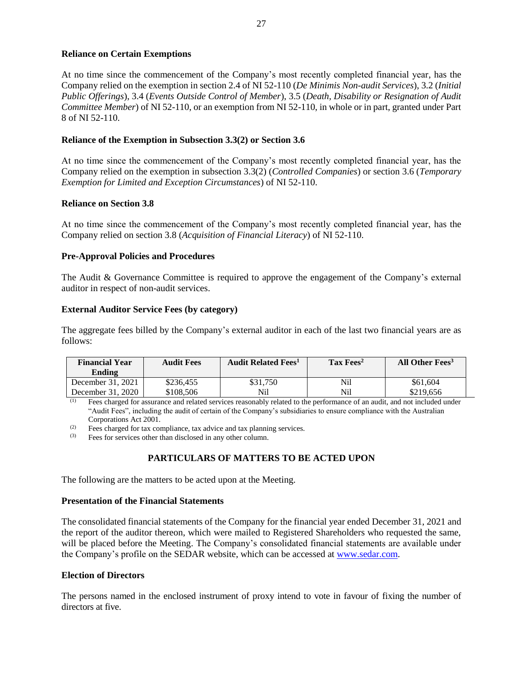## **Reliance on Certain Exemptions**

At no time since the commencement of the Company's most recently completed financial year, has the Company relied on the exemption in section 2.4 of NI 52-110 (*De Minimis Non-audit Services*), 3.2 (*Initial Public Offerings*), 3.4 (*Events Outside Control of Member*), 3.5 (*Death, Disability or Resignation of Audit Committee Member*) of NI 52-110, or an exemption from NI 52-110, in whole or in part, granted under Part 8 of NI 52-110.

### **Reliance of the Exemption in Subsection 3.3(2) or Section 3.6**

At no time since the commencement of the Company's most recently completed financial year, has the Company relied on the exemption in subsection 3.3(2) (*Controlled Companies*) or section 3.6 (*Temporary Exemption for Limited and Exception Circumstances*) of NI 52-110.

### **Reliance on Section 3.8**

At no time since the commencement of the Company's most recently completed financial year, has the Company relied on section 3.8 (*Acquisition of Financial Literacy*) of NI 52-110.

## **Pre-Approval Policies and Procedures**

The Audit & Governance Committee is required to approve the engagement of the Company's external auditor in respect of non-audit services.

## **External Auditor Service Fees (by category)**

The aggregate fees billed by the Company's external auditor in each of the last two financial years are as follows:

| <b>Financial Year</b><br>Ending | <b>Audit Fees</b> | <b>Audit Related Fees</b> <sup>1</sup> | $\rm Tax\,Fees^2$ | All Other Fees <sup>3</sup> |
|---------------------------------|-------------------|----------------------------------------|-------------------|-----------------------------|
| December 31, 2021               | \$236,455         | \$31.750                               | Nil               | \$61,604                    |
| December 31, 2020               | \$108.506         | Nil                                    | Nil               | \$219,656                   |

(1) Fees charged for assurance and related services reasonably related to the performance of an audit, and not included under "Audit Fees", including the audit of certain of the Company's subsidiaries to ensure compliance with the Australian Corporations Act 2001.

 $\frac{1}{2}$  Fees charged for tax compliance, tax advice and tax planning services.<br>  $\frac{1}{2}$  Fees for services other than disclosed in any other column

Fees for services other than disclosed in any other column.

# **PARTICULARS OF MATTERS TO BE ACTED UPON**

The following are the matters to be acted upon at the Meeting.

#### **Presentation of the Financial Statements**

The consolidated financial statements of the Company for the financial year ended December 31, 2021 and the report of the auditor thereon, which were mailed to Registered Shareholders who requested the same, will be placed before the Meeting. The Company's consolidated financial statements are available under the Company's profile on the SEDAR website, which can be accessed at [www.sedar.com.](http://www.sedar.com/)

#### **Election of Directors**

The persons named in the enclosed instrument of proxy intend to vote in favour of fixing the number of directors at five.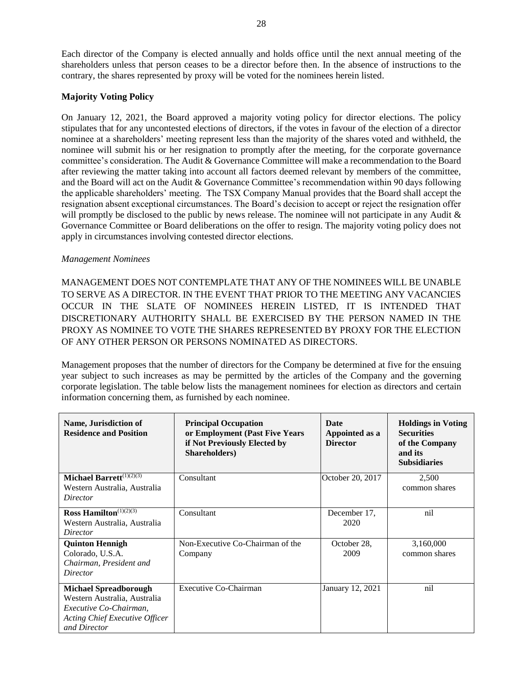Each director of the Company is elected annually and holds office until the next annual meeting of the shareholders unless that person ceases to be a director before then. In the absence of instructions to the contrary, the shares represented by proxy will be voted for the nominees herein listed.

## **Majority Voting Policy**

On January 12, 2021, the Board approved a majority voting policy for director elections. The policy stipulates that for any uncontested elections of directors, if the votes in favour of the election of a director nominee at a shareholders' meeting represent less than the majority of the shares voted and withheld, the nominee will submit his or her resignation to promptly after the meeting, for the corporate governance committee's consideration. The Audit & Governance Committee will make a recommendation to the Board after reviewing the matter taking into account all factors deemed relevant by members of the committee, and the Board will act on the Audit & Governance Committee's recommendation within 90 days following the applicable shareholders' meeting. The TSX Company Manual provides that the Board shall accept the resignation absent exceptional circumstances. The Board's decision to accept or reject the resignation offer will promptly be disclosed to the public by news release. The nominee will not participate in any Audit  $\&$ Governance Committee or Board deliberations on the offer to resign. The majority voting policy does not apply in circumstances involving contested director elections.

### *Management Nominees*

MANAGEMENT DOES NOT CONTEMPLATE THAT ANY OF THE NOMINEES WILL BE UNABLE TO SERVE AS A DIRECTOR. IN THE EVENT THAT PRIOR TO THE MEETING ANY VACANCIES OCCUR IN THE SLATE OF NOMINEES HEREIN LISTED, IT IS INTENDED THAT DISCRETIONARY AUTHORITY SHALL BE EXERCISED BY THE PERSON NAMED IN THE PROXY AS NOMINEE TO VOTE THE SHARES REPRESENTED BY PROXY FOR THE ELECTION OF ANY OTHER PERSON OR PERSONS NOMINATED AS DIRECTORS.

Management proposes that the number of directors for the Company be determined at five for the ensuing year subject to such increases as may be permitted by the articles of the Company and the governing corporate legislation. The table below lists the management nominees for election as directors and certain information concerning them, as furnished by each nominee.

| Name, Jurisdiction of<br><b>Residence and Position</b> | <b>Principal Occupation</b><br>or Employment (Past Five Years<br>if Not Previously Elected by<br><b>Shareholders</b> ) | <b>Date</b><br>Appointed as a<br><b>Director</b> | <b>Holdings in Voting</b><br><b>Securities</b><br>of the Company<br>and its<br><b>Subsidiaries</b> |
|--------------------------------------------------------|------------------------------------------------------------------------------------------------------------------------|--------------------------------------------------|----------------------------------------------------------------------------------------------------|
| Michael Barrett $(1)(2)(3)$                            | Consultant                                                                                                             | October 20, 2017                                 | 2,500                                                                                              |
| Western Australia, Australia                           |                                                                                                                        |                                                  | common shares                                                                                      |
| Director                                               |                                                                                                                        |                                                  |                                                                                                    |
| Ross Hamilton <sup><math>(1)(2)(3)</math></sup>        | Consultant                                                                                                             | December 17.                                     | nil                                                                                                |
| Western Australia, Australia                           |                                                                                                                        | 2020                                             |                                                                                                    |
| Director                                               |                                                                                                                        |                                                  |                                                                                                    |
| <b>Quinton Hennigh</b>                                 | Non-Executive Co-Chairman of the                                                                                       | October 28,                                      | 3,160,000                                                                                          |
| Colorado, U.S.A.                                       | Company                                                                                                                | 2009                                             | common shares                                                                                      |
| Chairman, President and                                |                                                                                                                        |                                                  |                                                                                                    |
| Director                                               |                                                                                                                        |                                                  |                                                                                                    |
| <b>Michael Spreadborough</b>                           | Executive Co-Chairman                                                                                                  | January 12, 2021                                 | nil                                                                                                |
| Western Australia, Australia                           |                                                                                                                        |                                                  |                                                                                                    |
| Executive Co-Chairman,                                 |                                                                                                                        |                                                  |                                                                                                    |
| Acting Chief Executive Officer                         |                                                                                                                        |                                                  |                                                                                                    |
| and Director                                           |                                                                                                                        |                                                  |                                                                                                    |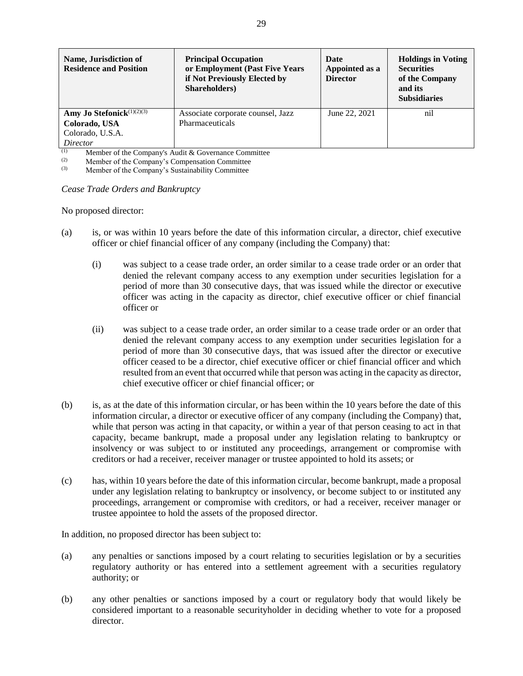| Name, Jurisdiction of<br><b>Residence and Position</b> | <b>Principal Occupation</b><br>or Employment (Past Five Years<br>if Not Previously Elected by<br>Shareholders) | Date<br>Appointed as a<br><b>Director</b> | <b>Holdings in Voting</b><br><b>Securities</b><br>of the Company<br>and its<br><b>Subsidiaries</b> |
|--------------------------------------------------------|----------------------------------------------------------------------------------------------------------------|-------------------------------------------|----------------------------------------------------------------------------------------------------|
| Amy Jo Stefonick $(1)(2)(3)$                           | Associate corporate counsel, Jazz                                                                              | June 22, 2021                             | nil                                                                                                |
| Colorado, USA                                          | Pharmaceuticals                                                                                                |                                           |                                                                                                    |
| Colorado, U.S.A.                                       |                                                                                                                |                                           |                                                                                                    |
| Director                                               |                                                                                                                |                                           |                                                                                                    |

(1) Member of the Company's Audit & Governance Committee<br>
(2) Member of the Company's Companystics Committee

(2) Member of the Company's Compensation Committee<br>
(3) Member of the Company's Sustainability Committee

Member of the Company's Sustainability Committee

*Cease Trade Orders and Bankruptcy*

No proposed director:

- (a) is, or was within 10 years before the date of this information circular, a director, chief executive officer or chief financial officer of any company (including the Company) that:
	- (i) was subject to a cease trade order, an order similar to a cease trade order or an order that denied the relevant company access to any exemption under securities legislation for a period of more than 30 consecutive days, that was issued while the director or executive officer was acting in the capacity as director, chief executive officer or chief financial officer or
	- (ii) was subject to a cease trade order, an order similar to a cease trade order or an order that denied the relevant company access to any exemption under securities legislation for a period of more than 30 consecutive days, that was issued after the director or executive officer ceased to be a director, chief executive officer or chief financial officer and which resulted from an event that occurred while that person was acting in the capacity as director, chief executive officer or chief financial officer; or
- (b) is, as at the date of this information circular, or has been within the 10 years before the date of this information circular, a director or executive officer of any company (including the Company) that, while that person was acting in that capacity, or within a year of that person ceasing to act in that capacity, became bankrupt, made a proposal under any legislation relating to bankruptcy or insolvency or was subject to or instituted any proceedings, arrangement or compromise with creditors or had a receiver, receiver manager or trustee appointed to hold its assets; or
- (c) has, within 10 years before the date of this information circular, become bankrupt, made a proposal under any legislation relating to bankruptcy or insolvency, or become subject to or instituted any proceedings, arrangement or compromise with creditors, or had a receiver, receiver manager or trustee appointee to hold the assets of the proposed director.

In addition, no proposed director has been subject to:

- (a) any penalties or sanctions imposed by a court relating to securities legislation or by a securities regulatory authority or has entered into a settlement agreement with a securities regulatory authority; or
- (b) any other penalties or sanctions imposed by a court or regulatory body that would likely be considered important to a reasonable securityholder in deciding whether to vote for a proposed director.